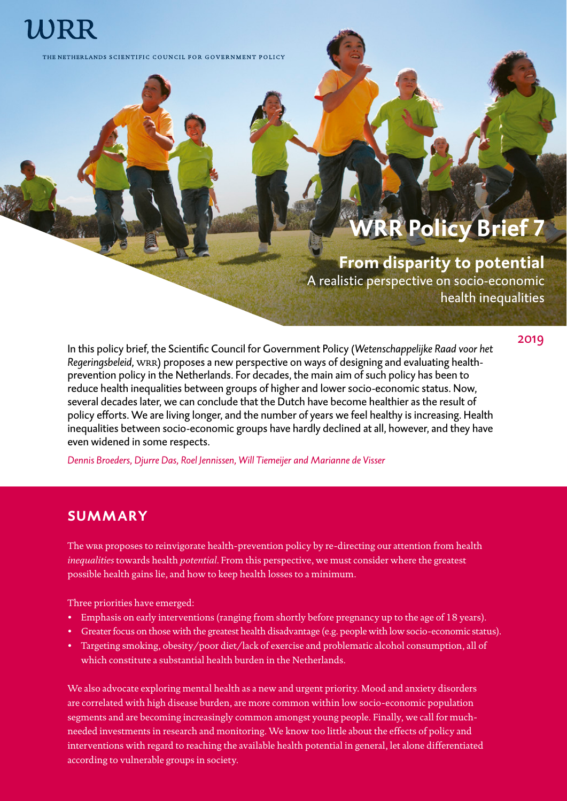# WRR

THE NETHERLANDS SCIENTIFIC COUNCIL FOR GOVERNMENT POLICY

## **WRR Policy Brief 7**

## **From disparity to potential**

A realistic perspective on socio-economic health inequalities

2019

In this policy brief, the Scientific Council for Government Policy (*Wetenschappelijke Raad voor het Regeringsbeleid,* wrr) proposes a new perspective on ways of designing and evaluating healthprevention policy in the Netherlands. For decades, the main aim of such policy has been to reduce health inequalities between groups of higher and lower socio-economic status. Now, several decades later, we can conclude that the Dutch have become healthier as the result of policy efforts. We are living longer, and the number of years we feel healthy is increasing. Health inequalities between socio-economic groups have hardly declined at all, however, and they have even widened in some respects.

*Dennis Broeders, Djurre Das, Roel Jennissen, Will Tiemeijer and Marianne de Visser*

## **SUMMARY**

The wra proposes to reinvigorate health-prevention policy by re-directing our attention from health *inequalities* towards health *potential*. From this perspective, we must consider where the greatest possible health gains lie, and how to keep health losses to a minimum.

Three priorities have emerged:

- Emphasis on early interventions (ranging from shortly before pregnancy up to the age of 18 years).
- Greater focus on those with the greatest health disadvantage (e.g. people with low socio-economic status).
- Targeting smoking, obesity/poor diet/lack of exercise and problematic alcohol consumption, all of which constitute a substantial health burden in the Netherlands.

We also advocate exploring mental health as a new and urgent priority. Mood and anxiety disorders are correlated with high disease burden, are more common within low socio-economic population segments and are becoming increasingly common amongst young people. Finally, we call for muchneeded investments in research and monitoring. We know too little about the effects of policy and interventions with regard to reaching the available health potential in general, let alone differentiated according to vulnerable groups in society.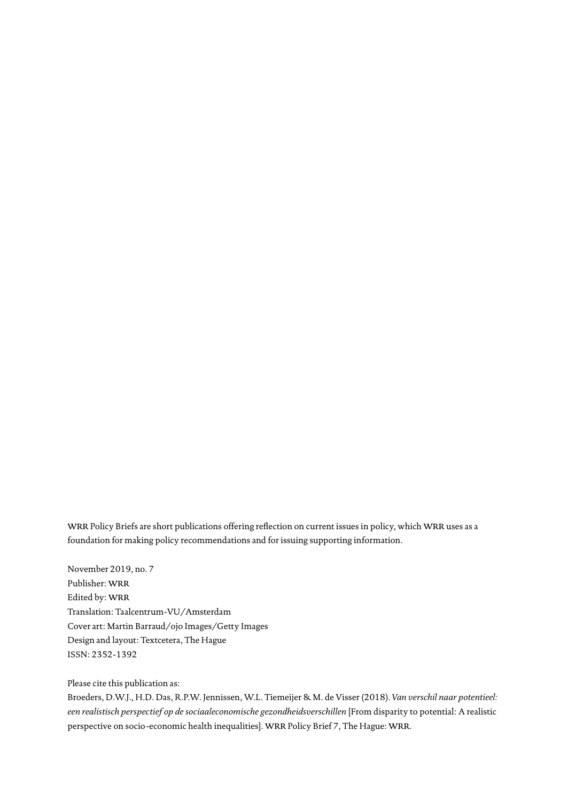wRR Policy Briefs are short publications offering reflection on current issues in policy, which WRR uses as a foundation for making policy recommendations and for issuing supporting information.

November 2019, no. 7 Publisher: WRR Edited by: WRR Translation: Taalcentrum-VU/Amsterdam Cover art: Martin Barraud/ojo Images/Getty Images Design and layout: Textcetera, The Hague ISSN: 2352-1392

#### Please cite this publication as:

Broeders, D.W.J., H.D. Das, R.P.W. Jennissen, W.L. Tiemeijer & M. de Visser (2018). *Van verschil naar potentieel: een realistisch perspectief op de sociaaleconomische gezondheidsverschillen* [From disparity to potential: A realistic perspective on socio-economic health inequalities]. WRR Policy Brief 7, The Hague: WRR.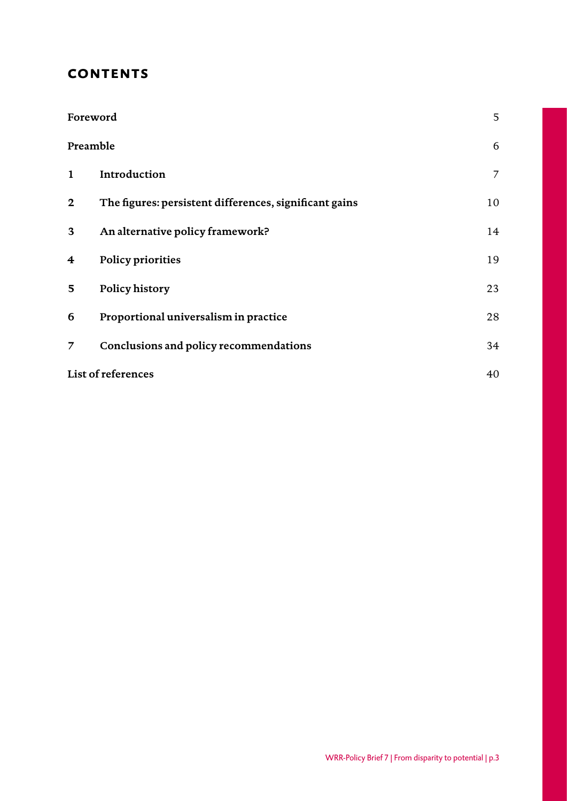## **contents**

| Foreword           |                                                        |    |
|--------------------|--------------------------------------------------------|----|
| Preamble           |                                                        | 6  |
| $\mathbf{1}$       | Introduction                                           | 7  |
| $\mathbf{2}$       | The figures: persistent differences, significant gains | 10 |
| 3                  | An alternative policy framework?                       | 14 |
| 4                  | Policy priorities                                      | 19 |
| 5                  | Policy history                                         | 23 |
| 6                  | Proportional universalism in practice                  | 28 |
| 7                  | Conclusions and policy recommendations                 | 34 |
| List of references |                                                        |    |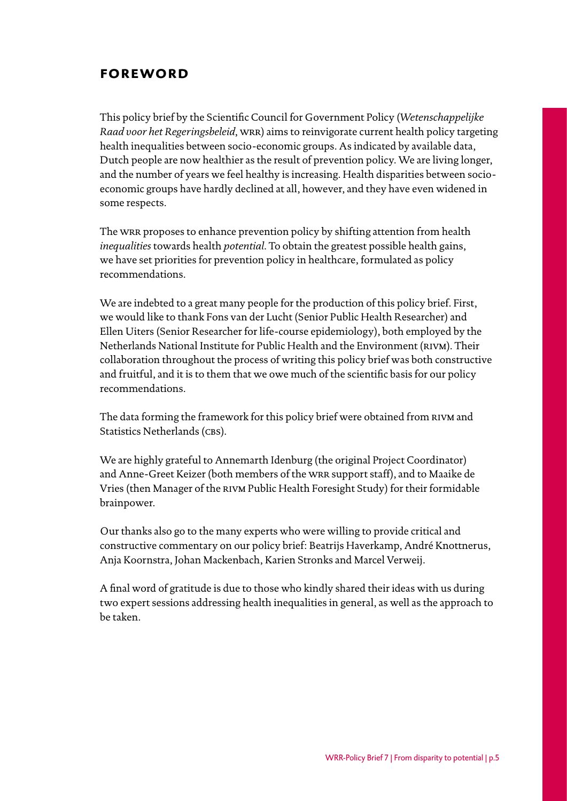## <span id="page-4-0"></span>**foreword**

This policy brief by the Scientific Council for Government Policy (*Wetenschappelijke Raad voor het Regeringsbeleid*, WRR) aims to reinvigorate current health policy targeting health inequalities between socio-economic groups. As indicated by available data, Dutch people are now healthier as the result of prevention policy. We are living longer, and the number of years we feel healthy is increasing. Health disparities between socioeconomic groups have hardly declined at all, however, and they have even widened in some respects.

The wra proposes to enhance prevention policy by shifting attention from health *inequalities* towards health *potential*. To obtain the greatest possible health gains, we have set priorities for prevention policy in healthcare, formulated as policy recommendations.

We are indebted to a great many people for the production of this policy brief. First, we would like to thank Fons van der Lucht (Senior Public Health Researcher) and Ellen Uiters (Senior Researcher for life-course epidemiology), both employed by the Netherlands National Institute for Public Health and the Environment (rivm). Their collaboration throughout the process of writing this policy brief was both constructive and fruitful, and it is to them that we owe much of the scientific basis for our policy recommendations.

The data forming the framework for this policy brief were obtained from rivm and Statistics Netherlands (CBS).

We are highly grateful to Annemarth Idenburg (the original Project Coordinator) and Anne-Greet Keizer (both members of the wrr support staff), and to Maaike de Vries (then Manager of the rivm Public Health Foresight Study) for their formidable brainpower.

Our thanks also go to the many experts who were willing to provide critical and constructive commentary on our policy brief: Beatrijs Haverkamp, André Knottnerus, Anja Koornstra, Johan Mackenbach, Karien Stronks and Marcel Verweij.

A final word of gratitude is due to those who kindly shared their ideas with us during two expert sessions addressing health inequalities in general, as well as the approach to be taken.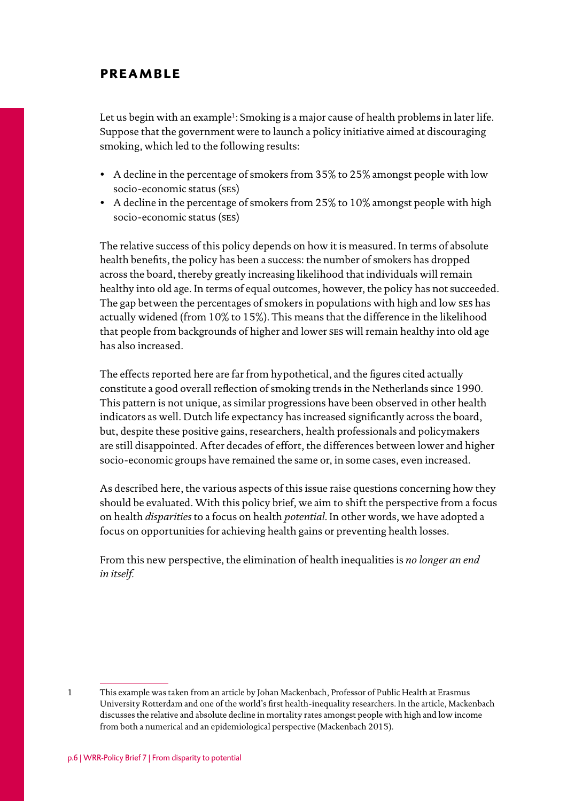### <span id="page-5-0"></span>**preamble**

Let us begin with an example<sup>1</sup>: Smoking is a major cause of health problems in later life. Suppose that the government were to launch a policy initiative aimed at discouraging smoking, which led to the following results:

- A decline in the percentage of smokers from 35% to 25% amongst people with low socio-economic status (ses)
- A decline in the percentage of smokers from 25% to 10% amongst people with high socio-economic status (ses)

The relative success of this policy depends on how it is measured. In terms of absolute health benefits, the policy has been a success: the number of smokers has dropped across the board, thereby greatly increasing likelihood that individuals will remain healthy into old age. In terms of equal outcomes, however, the policy has not succeeded. The gap between the percentages of smokers in populations with high and low ses has actually widened (from 10% to 15%). This means that the difference in the likelihood that people from backgrounds of higher and lower ses will remain healthy into old age has also increased.

The effects reported here are far from hypothetical, and the figures cited actually constitute a good overall reflection of smoking trends in the Netherlands since 1990. This pattern is not unique, as similar progressions have been observed in other health indicators as well. Dutch life expectancy has increased significantly across the board, but, despite these positive gains, researchers, health professionals and policymakers are still disappointed. After decades of effort, the differences between lower and higher socio-economic groups have remained the same or, in some cases, even increased.

As described here, the various aspects of this issue raise questions concerning how they should be evaluated. With this policy brief, we aim to shift the perspective from a focus on health *disparities* to a focus on health *potential*. In other words, we have adopted a focus on opportunities for achieving health gains or preventing health losses.

From this new perspective, the elimination of health inequalities is *no longer an end in itself.*

<sup>1</sup> This example was taken from an article by Johan Mackenbach, Professor of Public Health at Erasmus University Rotterdam and one of the world's first health-inequality researchers. In the article, Mackenbach discusses the relative and absolute decline in mortality rates amongst people with high and low income from both a numerical and an epidemiological perspective (Mackenbach 2015).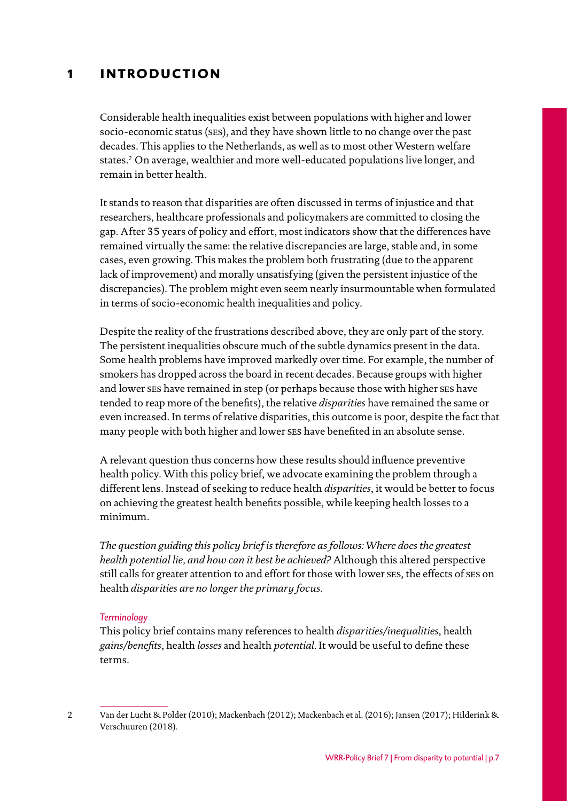## <span id="page-6-0"></span>**1 introduction**

Considerable health inequalities exist between populations with higher and lower socio-economic status (ses), and they have shown little to no change over the past decades. This applies to the Netherlands, as well as to most other Western welfare states.2 On average, wealthier and more well-educated populations live longer, and remain in better health.

It stands to reason that disparities are often discussed in terms of injustice and that researchers, healthcare professionals and policymakers are committed to closing the gap. After 35 years of policy and effort, most indicators show that the differences have remained virtually the same: the relative discrepancies are large, stable and, in some cases, even growing. This makes the problem both frustrating (due to the apparent lack of improvement) and morally unsatisfying (given the persistent injustice of the discrepancies). The problem might even seem nearly insurmountable when formulated in terms of socio-economic health inequalities and policy.

Despite the reality of the frustrations described above, they are only part of the story. The persistent inequalities obscure much of the subtle dynamics present in the data. Some health problems have improved markedly over time. For example, the number of smokers has dropped across the board in recent decades. Because groups with higher and lower ses have remained in step (or perhaps because those with higher ses have tended to reap more of the benefits), the relative *disparities* have remained the same or even increased. In terms of relative disparities, this outcome is poor, despite the fact that many people with both higher and lower ses have benefited in an absolute sense.

A relevant question thus concerns how these results should influence preventive health policy. With this policy brief, we advocate examining the problem through a different lens. Instead of seeking to reduce health *disparities*, it would be better to focus on achieving the greatest health benefits possible, while keeping health losses to a minimum.

*The question guiding this policy brief is therefore as follows: Where does the greatest health potential lie, and how can it best be achieved?* Although this altered perspective still calls for greater attention to and effort for those with lower ses, the effects of ses on health *disparities are no longer the primary focus.*

#### *Terminology*

This policy brief contains many references to health *disparities/inequalities*, health *gains/benefits*, health *losses* and health *potential*. It would be useful to define these terms.

<sup>2</sup> Van der Lucht & Polder (2010); Mackenbach (2012); Mackenbach et al. (2016); Jansen (2017); Hilderink & Verschuuren (2018).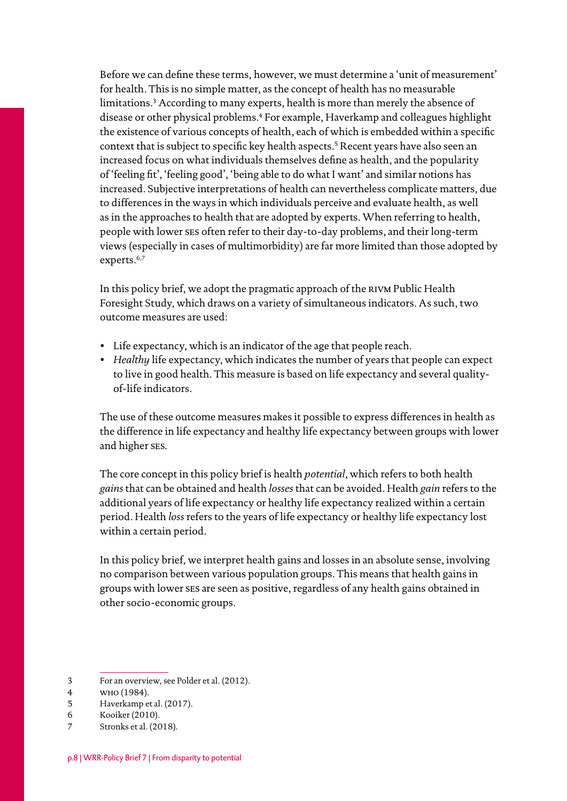Before we can define these terms, however, we must determine a 'unit of measurement' for health. This is no simple matter, as the concept of health has no measurable limitations.3 According to many experts, health is more than merely the absence of disease or other physical problems.4 For example, Haverkamp and colleagues highlight the existence of various concepts of health, each of which is embedded within a specific context that is subject to specific key health aspects.<sup>5</sup> Recent years have also seen an increased focus on what individuals themselves define as health, and the popularity of 'feeling fit', 'feeling good', 'being able to do what I want' and similar notions has increased. Subjective interpretations of health can nevertheless complicate matters, due to differences in the ways in which individuals perceive and evaluate health, as well as in the approaches to health that are adopted by experts. When referring to health, people with lower ses often refer to their day-to-day problems, and their long-term views (especially in cases of multimorbidity) are far more limited than those adopted by experts.<sup>6,7</sup>

In this policy brief, we adopt the pragmatic approach of the rivm Public Health Foresight Study, which draws on a variety of simultaneous indicators. As such, two outcome measures are used:

- Life expectancy, which is an indicator of the age that people reach.
- *Healthy* life expectancy, which indicates the number of years that people can expect to live in good health. This measure is based on life expectancy and several qualityof-life indicators.

The use of these outcome measures makes it possible to express differences in health as the difference in life expectancy and healthy life expectancy between groups with lower and higher ses.

The core concept in this policy brief is health *potential*, which refers to both health *gains* that can be obtained and health *losses* that can be avoided. Health *gain* refers to the additional years of life expectancy or healthy life expectancy realized within a certain period. Health *loss* refers to the years of life expectancy or healthy life expectancy lost within a certain period.

In this policy brief, we interpret health gains and losses in an absolute sense, involving no comparison between various population groups. This means that health gains in groups with lower ses are seen as positive, regardless of any health gains obtained in other socio-economic groups.

- 3 For an overview, see Polder et al. (2012).
- 4 who (1984).
- 5 Haverkamp et al. (2017).
- 6 Kooiker (2010).

<sup>7</sup> Stronks et al. (2018).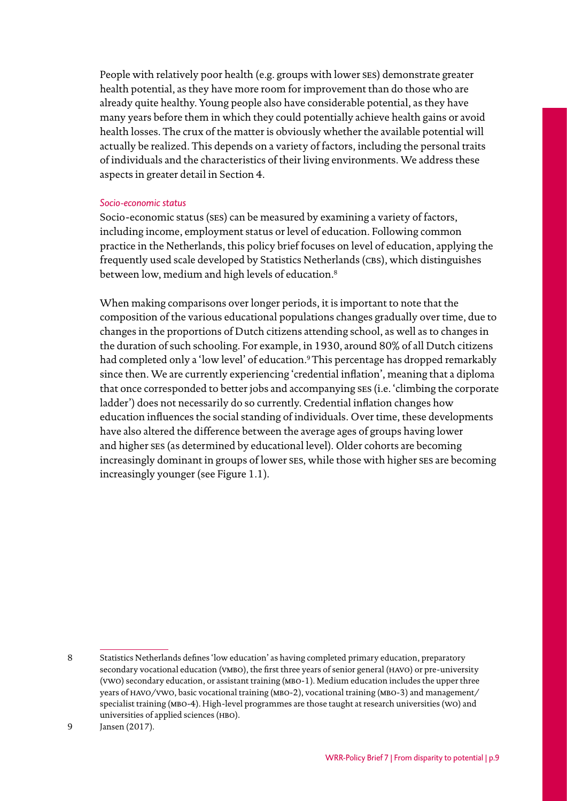People with relatively poor health (e.g. groups with lower ses) demonstrate greater health potential, as they have more room for improvement than do those who are already quite healthy. Young people also have considerable potential, as they have many years before them in which they could potentially achieve health gains or avoid health losses. The crux of the matter is obviously whether the available potential will actually be realized. This depends on a variety of factors, including the personal traits of individuals and the characteristics of their living environments. We address these aspects in greater detail in Section 4.

#### *Socio-economic status*

Socio-economic status (ses) can be measured by examining a variety of factors, including income, employment status or level of education. Following common practice in the Netherlands, this policy brief focuses on level of education, applying the frequently used scale developed by Statistics Netherlands (CBS), which distinguishes between low, medium and high levels of education.<sup>8</sup>

When making comparisons over longer periods, it is important to note that the composition of the various educational populations changes gradually over time, due to changes in the proportions of Dutch citizens attending school, as well as to changes in the duration of such schooling. For example, in 1930, around 80% of all Dutch citizens had completed only a 'low level' of education.9This percentage has dropped remarkably since then. We are currently experiencing 'credential inflation', meaning that a diploma that once corresponded to better jobs and accompanying ses (i.e. 'climbing the corporate ladder') does not necessarily do so currently. Credential inflation changes how education influences the social standing of individuals. Over time, these developments have also altered the difference between the average ages of groups having lower and higher ses (as determined by educational level). Older cohorts are becoming increasingly dominant in groups of lower ses, while those with higher ses are becoming increasingly younger (see Figure 1.1).

<sup>8</sup> Statistics Netherlands defines 'low education' as having completed primary education, preparatory secondary vocational education (VMBO), the first three years of senior general (HAVO) or pre-university (vwo) secondary education, or assistant training (mbo-1). Medium education includes the upper three years of havo/vwo, basic vocational training (mbo-2), vocational training (mbo-3) and management/ specialist training (mbo-4). High-level programmes are those taught at research universities (wo) and universities of applied sciences (HBO).

<sup>9</sup> Jansen (2017).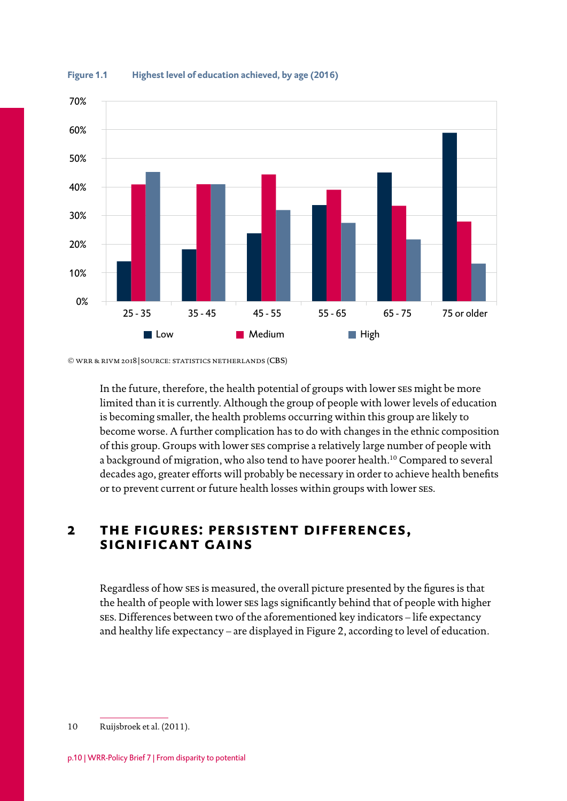

<span id="page-9-0"></span>

© wrr & rivm 2018 | source: statistics netherlands (cbs)

In the future, therefore, the health potential of groups with lower ses might be more limited than it is currently. Although the group of people with lower levels of education is becoming smaller, the health problems occurring within this group are likely to become worse. A further complication has to do with changes in the ethnic composition of this group. Groups with lower ses comprise a relatively large number of people with a background of migration, who also tend to have poorer health.10 Compared to several decades ago, greater efforts will probably be necessary in order to achieve health benefits or to prevent current or future health losses within groups with lower ses.

### **2 the figures: persistent differences, significant gains**

Regardless of how ses is measured, the overall picture presented by the figures is that the health of people with lower ses lags significantly behind that of people with higher ses. Differences between two of the aforementioned key indicators – life expectancy and healthy life expectancy – are displayed in Figure 2, according to level of education.

10 Ruijsbroek et al. (2011).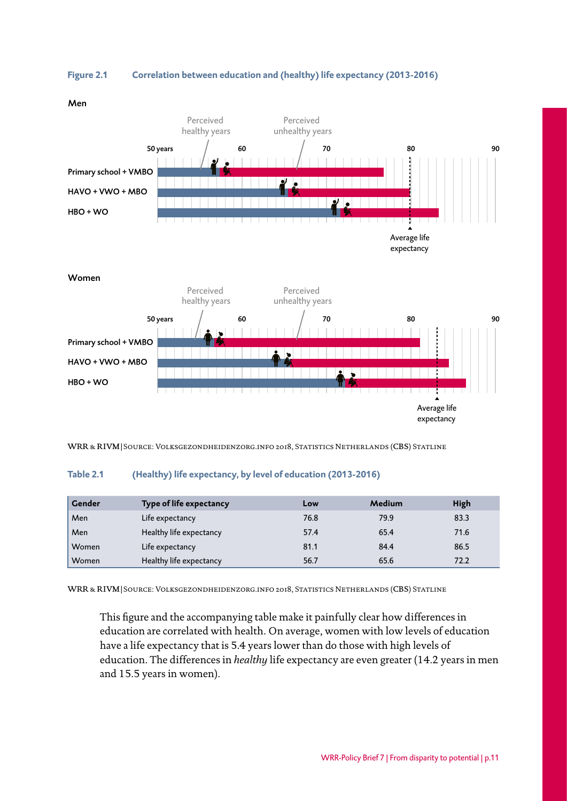

**Figure 2.1 Correlation between education and (healthy) life expectancy (2013-2016)**



WRR & RIVM | SOURCE: VOLKSGEZONDHEIDENZORG.INFO 2018, STATISTICS NETHERLANDS (CBS) STATLINE

#### **Table 2.1 (Healthy) life expectancy, by level of education (2013-2016)**

| Gender | Type of life expectancy | Low  | Medium | High |
|--------|-------------------------|------|--------|------|
| Men    | Life expectancy         | 76.8 | 79.9   | 83.3 |
| Men    | Healthy life expectancy | 57.4 | 65.4   | 71.6 |
| Women  | Life expectancy         | 81.1 | 84.4   | 86.5 |
| Women  | Healthy life expectancy | 56.7 | 65.6   | 72.2 |

WRR & RIVM | SOURCE: VOLKSGEZONDHEIDENZORG.INFO 2018, STATISTICS NETHERLANDS (CBS) STATLINE

This figure and the accompanying table make it painfully clear how differences in education are correlated with health. On average, women with low levels of education have a life expectancy that is 5.4 years lower than do those with high levels of education. The differences in *healthy* life expectancy are even greater (14.2 years in men and 15.5 years in women).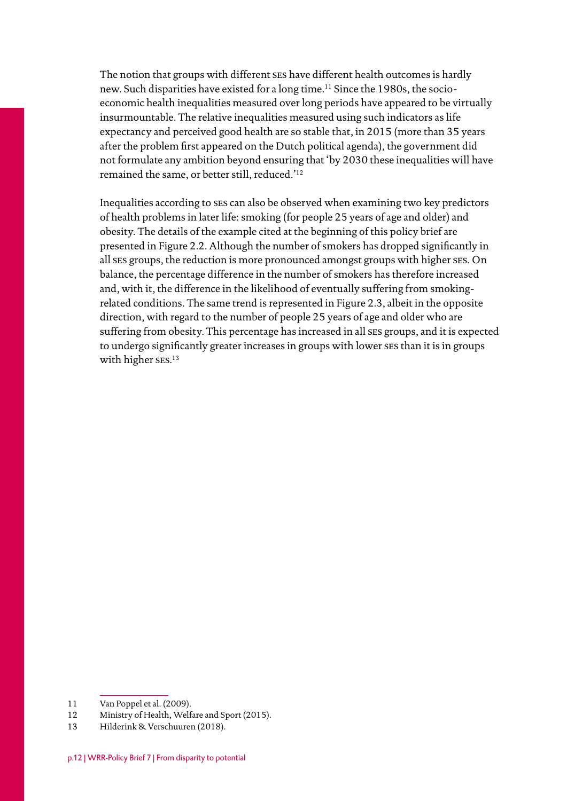The notion that groups with different ses have different health outcomes is hardly new. Such disparities have existed for a long time.11 Since the 1980s, the socioeconomic health inequalities measured over long periods have appeared to be virtually insurmountable. The relative inequalities measured using such indicators as life expectancy and perceived good health are so stable that, in 2015 (more than 35 years after the problem first appeared on the Dutch political agenda), the government did not formulate any ambition beyond ensuring that 'by 2030 these inequalities will have remained the same, or better still, reduced.'12

Inequalities according to ses can also be observed when examining two key predictors of health problems in later life: smoking (for people 25 years of age and older) and obesity. The details of the example cited at the beginning of this policy brief are presented in Figure 2.2. Although the number of smokers has dropped significantly in all ses groups, the reduction is more pronounced amongst groups with higher ses. On balance, the percentage difference in the number of smokers has therefore increased and, with it, the difference in the likelihood of eventually suffering from smokingrelated conditions. The same trend is represented in Figure 2.3, albeit in the opposite direction, with regard to the number of people 25 years of age and older who are suffering from obesity. This percentage has increased in all ses groups, and it is expected to undergo significantly greater increases in groups with lower ses than it is in groups with higher ses. 13

<sup>11</sup> Van Poppel et al. (2009).

<sup>12</sup> Ministry of Health, Welfare and Sport (2015).

<sup>13</sup> Hilderink & Verschuuren (2018).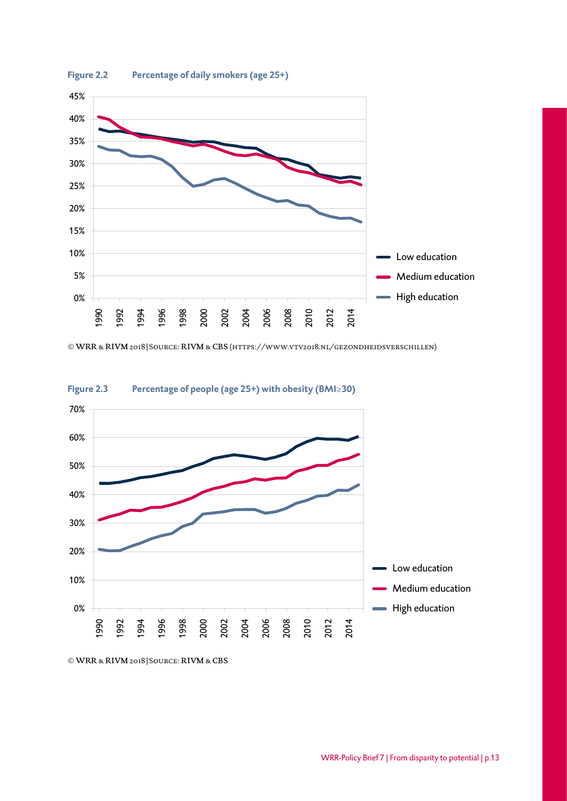

© wrr & rivm 2018 | Source: rivm & cbs [\(https://www.vtv2018.nl/gezondheidsverschillen\)](http://www.vtv2018.nl/gezondheidsverschillen))



**Figure 2.3 Percentage of people (age 25+) with obesity (BMI≥30)**

© wrr & rivm 2018 | Source: rivm & cbs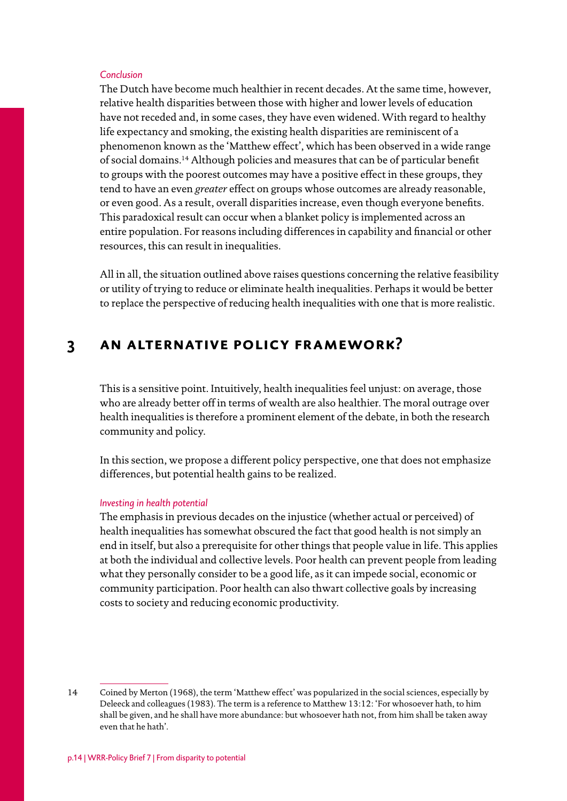#### <span id="page-13-0"></span>*Conclusion*

The Dutch have become much healthier in recent decades. At the same time, however, relative health disparities between those with higher and lower levels of education have not receded and, in some cases, they have even widened. With regard to healthy life expectancy and smoking, the existing health disparities are reminiscent of a phenomenon known as the 'Matthew effect', which has been observed in a wide range of social domains.14 Although policies and measures that can be of particular benefit to groups with the poorest outcomes may have a positive effect in these groups, they tend to have an even *greater* effect on groups whose outcomes are already reasonable, or even good. As a result, overall disparities increase, even though everyone benefits. This paradoxical result can occur when a blanket policy is implemented across an entire population. For reasons including differences in capability and financial or other resources, this can result in inequalities.

All in all, the situation outlined above raises questions concerning the relative feasibility or utility of trying to reduce or eliminate health inequalities. Perhaps it would be better to replace the perspective of reducing health inequalities with one that is more realistic.

## **3 an alternative policy framework?**

This is a sensitive point. Intuitively, health inequalities feel unjust: on average, those who are already better off in terms of wealth are also healthier. The moral outrage over health inequalities is therefore a prominent element of the debate, in both the research community and policy.

In this section, we propose a different policy perspective, one that does not emphasize differences, but potential health gains to be realized.

#### *Investing in health potential*

The emphasis in previous decades on the injustice (whether actual or perceived) of health inequalities has somewhat obscured the fact that good health is not simply an end in itself, but also a prerequisite for other things that people value in life. This applies at both the individual and collective levels. Poor health can prevent people from leading what they personally consider to be a good life, as it can impede social, economic or community participation. Poor health can also thwart collective goals by increasing costs to society and reducing economic productivity.

<sup>14</sup> Coined by Merton (1968), the term 'Matthew effect' was popularized in the social sciences, especially by Deleeck and colleagues (1983). The term is a reference to Matthew 13:12: 'For whosoever hath, to him shall be given, and he shall have more abundance: but whosoever hath not, from him shall be taken away even that he hath'.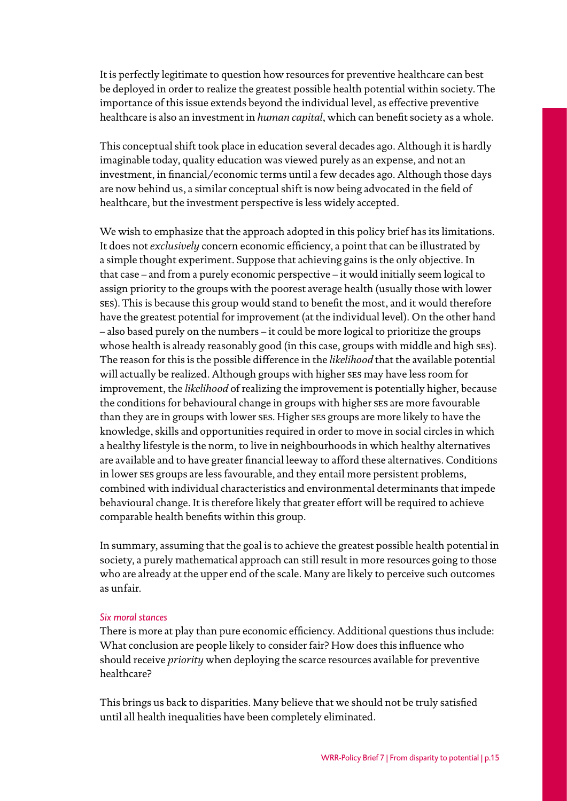It is perfectly legitimate to question how resources for preventive healthcare can best be deployed in order to realize the greatest possible health potential within society. The importance of this issue extends beyond the individual level, as effective preventive healthcare is also an investment in *human capital*, which can benefit society as a whole.

This conceptual shift took place in education several decades ago. Although it is hardly imaginable today, quality education was viewed purely as an expense, and not an investment, in financial/economic terms until a few decades ago. Although those days are now behind us, a similar conceptual shift is now being advocated in the field of healthcare, but the investment perspective is less widely accepted.

We wish to emphasize that the approach adopted in this policy brief has its limitations. It does not *exclusively* concern economic efficiency, a point that can be illustrated by a simple thought experiment. Suppose that achieving gains is the only objective. In that case – and from a purely economic perspective – it would initially seem logical to assign priority to the groups with the poorest average health (usually those with lower ses). This is because this group would stand to benefit the most, and it would therefore have the greatest potential for improvement (at the individual level). On the other hand – also based purely on the numbers – it could be more logical to prioritize the groups whose health is already reasonably good (in this case, groups with middle and high ses). The reason for this is the possible difference in the *likelihood* that the available potential will actually be realized. Although groups with higher ses may have less room for improvement, the *likelihood* of realizing the improvement is potentially higher, because the conditions for behavioural change in groups with higher ses are more favourable than they are in groups with lower ses. Higher ses groups are more likely to have the knowledge, skills and opportunities required in order to move in social circles in which a healthy lifestyle is the norm, to live in neighbourhoods in which healthy alternatives are available and to have greater financial leeway to afford these alternatives. Conditions in lower ses groups are less favourable, and they entail more persistent problems, combined with individual characteristics and environmental determinants that impede behavioural change. It is therefore likely that greater effort will be required to achieve comparable health benefits within this group.

In summary, assuming that the goal is to achieve the greatest possible health potential in society, a purely mathematical approach can still result in more resources going to those who are already at the upper end of the scale. Many are likely to perceive such outcomes as unfair.

#### *Six moral stances*

There is more at play than pure economic efficiency. Additional questions thus include: What conclusion are people likely to consider fair? How does this influence who should receive *priority* when deploying the scarce resources available for preventive healthcare?

This brings us back to disparities. Many believe that we should not be truly satisfied until all health inequalities have been completely eliminated.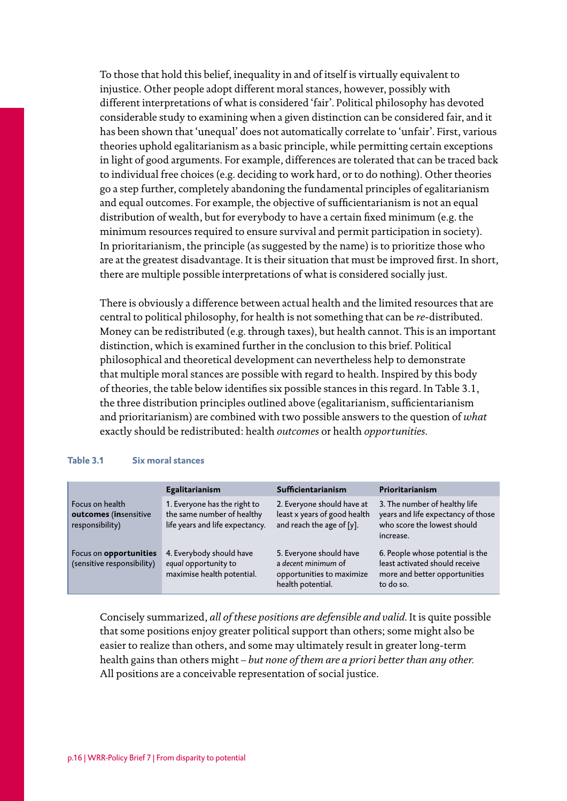To those that hold this belief, inequality in and of itself is virtually equivalent to injustice. Other people adopt different moral stances, however, possibly with different interpretations of what is considered 'fair'. Political philosophy has devoted considerable study to examining when a given distinction can be considered fair, and it has been shown that 'unequal' does not automatically correlate to 'unfair'. First, various theories uphold egalitarianism as a basic principle, while permitting certain exceptions in light of good arguments. For example, differences are tolerated that can be traced back to individual free choices (e.g. deciding to work hard, or to do nothing). Other theories go a step further, completely abandoning the fundamental principles of egalitarianism and equal outcomes. For example, the objective of sufficientarianism is not an equal distribution of wealth, but for everybody to have a certain fixed minimum (e.g. the minimum resources required to ensure survival and permit participation in society). In prioritarianism, the principle (as suggested by the name) is to prioritize those who are at the greatest disadvantage. It is their situation that must be improved first. In short, there are multiple possible interpretations of what is considered socially just.

There is obviously a difference between actual health and the limited resources that are central to political philosophy, for health is not something that can be *re*-distributed. Money can be redistributed (e.g. through taxes), but health cannot. This is an important distinction, which is examined further in the conclusion to this brief. Political philosophical and theoretical development can nevertheless help to demonstrate that multiple moral stances are possible with regard to health. Inspired by this body of theories, the table below identifies six possible stances in this regard. In Table 3.1, the three distribution principles outlined above (egalitarianism, sufficientarianism and prioritarianism) are combined with two possible answers to the question of *what* exactly should be redistributed: health *outcomes* or health *opportunities*.

#### **Table 3.1 Six moral stances**

|                                                             | Egalitarianism                                                                                | Sufficientarianism                                                                               | Prioritarianism                                                                                                  |
|-------------------------------------------------------------|-----------------------------------------------------------------------------------------------|--------------------------------------------------------------------------------------------------|------------------------------------------------------------------------------------------------------------------|
| Focus on health<br>outcomes (insensitive<br>responsibility) | 1. Everyone has the right to<br>the same number of healthy<br>life years and life expectancy. | 2. Everyone should have at<br>least x years of good health<br>and reach the age of [y].          | 3. The number of healthy life<br>years and life expectancy of those<br>who score the lowest should<br>increase.  |
| Focus on opportunities<br>(sensitive responsibility)        | 4. Everybody should have<br>equal opportunity to<br>maximise health potential.                | 5. Everyone should have<br>a decent minimum of<br>opportunities to maximize<br>health potential. | 6. People whose potential is the<br>least activated should receive<br>more and better opportunities<br>to do so. |

Concisely summarized, *all of these positions are defensible and valid*. It is quite possible that some positions enjoy greater political support than others; some might also be easier to realize than others, and some may ultimately result in greater long-term health gains than others might – *but none of them are a priori better than any other.*  All positions are a conceivable representation of social justice.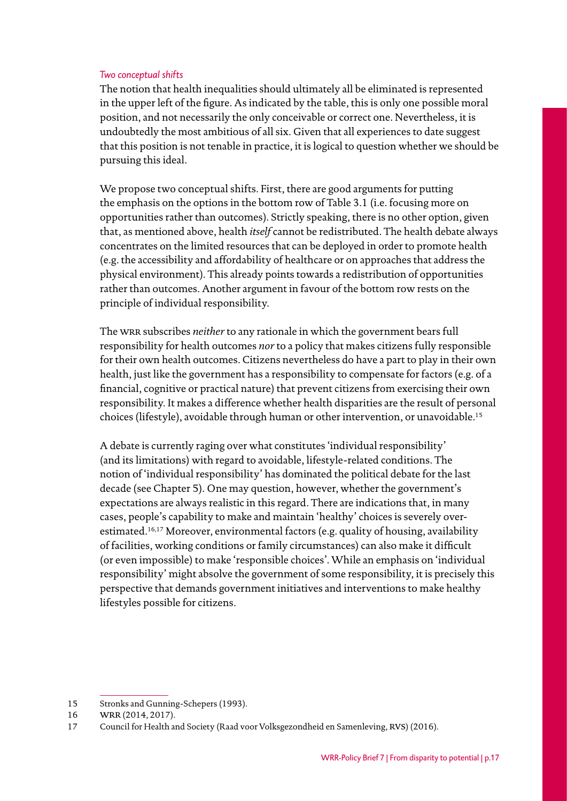#### *Two conceptual shifts*

The notion that health inequalities should ultimately all be eliminated is represented in the upper left of the figure. As indicated by the table, this is only one possible moral position, and not necessarily the only conceivable or correct one. Nevertheless, it is undoubtedly the most ambitious of all six. Given that all experiences to date suggest that this position is not tenable in practice, it is logical to question whether we should be pursuing this ideal.

We propose two conceptual shifts. First, there are good arguments for putting the emphasis on the options in the bottom row of Table 3.1 (i.e. focusing more on opportunities rather than outcomes). Strictly speaking, there is no other option, given that, as mentioned above, health *itself* cannot be redistributed. The health debate always concentrates on the limited resources that can be deployed in order to promote health (e.g. the accessibility and affordability of healthcare or on approaches that address the physical environment). This already points towards a redistribution of opportunities rather than outcomes. Another argument in favour of the bottom row rests on the principle of individual responsibility.

The wrr subscribes *neither* to any rationale in which the government bears full responsibility for health outcomes *nor* to a policy that makes citizens fully responsible for their own health outcomes. Citizens nevertheless do have a part to play in their own health, just like the government has a responsibility to compensate for factors (e.g. of a financial, cognitive or practical nature) that prevent citizens from exercising their own responsibility. It makes a difference whether health disparities are the result of personal choices (lifestyle), avoidable through human or other intervention, or unavoidable.15

A debate is currently raging over what constitutes 'individual responsibility' (and its limitations) with regard to avoidable, lifestyle-related conditions. The notion of 'individual responsibility' has dominated the political debate for the last decade (see Chapter 5). One may question, however, whether the government's expectations are always realistic in this regard. There are indications that, in many cases, people's capability to make and maintain 'healthy' choices is severely overestimated.16,17 Moreover, environmental factors (e.g. quality of housing, availability of facilities, working conditions or family circumstances) can also make it difficult (or even impossible) to make 'responsible choices'. While an emphasis on 'individual responsibility' might absolve the government of some responsibility, it is precisely this perspective that demands government initiatives and interventions to make healthy lifestyles possible for citizens.

<sup>15</sup> Stronks and Gunning-Schepers (1993).

<sup>16</sup> WRR (2014, 2017).

<sup>17</sup> Council for Health and Society (Raad voor Volksgezondheid en Samenleving, RVS) (2016).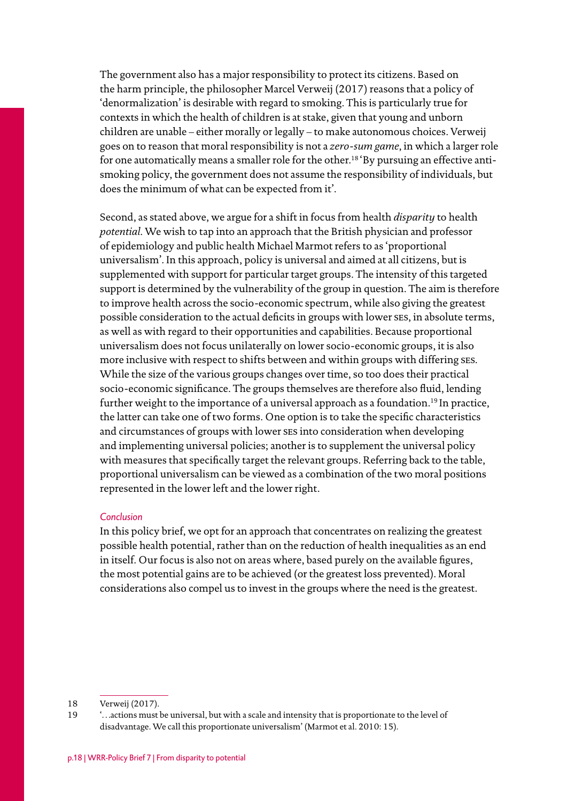The government also has a major responsibility to protect its citizens. Based on the harm principle, the philosopher Marcel Verweij (2017) reasons that a policy of 'denormalization' is desirable with regard to smoking. This is particularly true for contexts in which the health of children is at stake, given that young and unborn children are unable – either morally or legally – to make autonomous choices. Verweij goes on to reason that moral responsibility is not a *zero-sum game*, in which a larger role for one automatically means a smaller role for the other.<sup>18</sup> 'By pursuing an effective antismoking policy, the government does not assume the responsibility of individuals, but does the minimum of what can be expected from it'.

Second, as stated above, we argue for a shift in focus from health *disparity* to health *potential*. We wish to tap into an approach that the British physician and professor of epidemiology and public health Michael Marmot refers to as 'proportional universalism'. In this approach, policy is universal and aimed at all citizens, but is supplemented with support for particular target groups. The intensity of this targeted support is determined by the vulnerability of the group in question. The aim is therefore to improve health across the socio-economic spectrum, while also giving the greatest possible consideration to the actual deficits in groups with lower ses, in absolute terms, as well as with regard to their opportunities and capabilities. Because proportional universalism does not focus unilaterally on lower socio-economic groups, it is also more inclusive with respect to shifts between and within groups with differing ses. While the size of the various groups changes over time, so too does their practical socio-economic significance. The groups themselves are therefore also fluid, lending further weight to the importance of a universal approach as a foundation.<sup>19</sup> In practice, the latter can take one of two forms. One option is to take the specific characteristics and circumstances of groups with lower ses into consideration when developing and implementing universal policies; another is to supplement the universal policy with measures that specifically target the relevant groups. Referring back to the table, proportional universalism can be viewed as a combination of the two moral positions represented in the lower left and the lower right.

#### *Conclusion*

In this policy brief, we opt for an approach that concentrates on realizing the greatest possible health potential, rather than on the reduction of health inequalities as an end in itself. Our focus is also not on areas where, based purely on the available figures, the most potential gains are to be achieved (or the greatest loss prevented). Moral considerations also compel us to invest in the groups where the need is the greatest.

<sup>18</sup> Verweij (2017).

<sup>19</sup> '…actions must be universal, but with a scale and intensity that is proportionate to the level of disadvantage. We call this proportionate universalism' (Marmot et al. 2010: 15).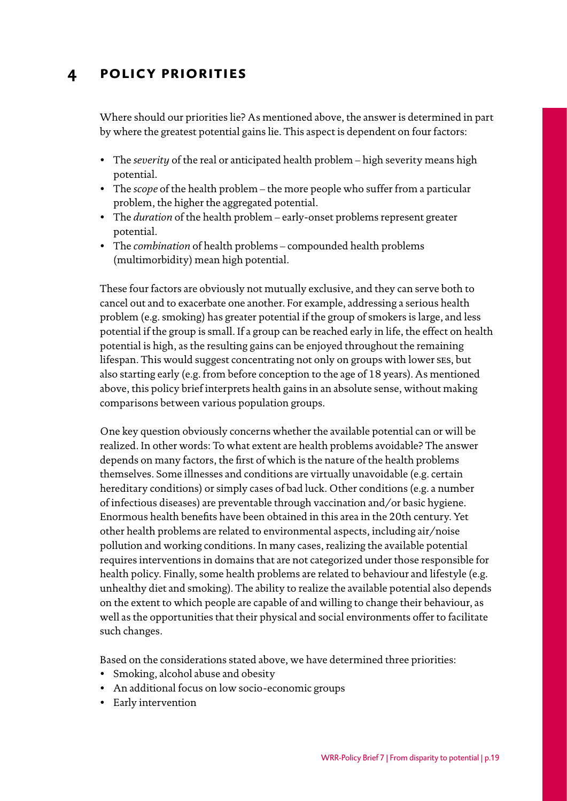## <span id="page-18-0"></span>**4 policy priorities**

Where should our priorities lie? As mentioned above, the answer is determined in part by where the greatest potential gains lie. This aspect is dependent on four factors:

- The *severity* of the real or anticipated health problem high severity means high potential.
- The *scope* of the health problem the more people who suffer from a particular problem, the higher the aggregated potential.
- The *duration* of the health problem early-onset problems represent greater potential.
- The *combination* of health problems compounded health problems (multimorbidity) mean high potential.

These four factors are obviously not mutually exclusive, and they can serve both to cancel out and to exacerbate one another. For example, addressing a serious health problem (e.g. smoking) has greater potential if the group of smokers is large, and less potential if the group is small. If a group can be reached early in life, the effect on health potential is high, as the resulting gains can be enjoyed throughout the remaining lifespan. This would suggest concentrating not only on groups with lower ses, but also starting early (e.g. from before conception to the age of 18 years). As mentioned above, this policy brief interprets health gains in an absolute sense, without making comparisons between various population groups.

One key question obviously concerns whether the available potential can or will be realized. In other words: To what extent are health problems avoidable? The answer depends on many factors, the first of which is the nature of the health problems themselves. Some illnesses and conditions are virtually unavoidable (e.g. certain hereditary conditions) or simply cases of bad luck. Other conditions (e.g. a number of infectious diseases) are preventable through vaccination and/or basic hygiene. Enormous health benefits have been obtained in this area in the 20th century. Yet other health problems are related to environmental aspects, including air/noise pollution and working conditions. In many cases, realizing the available potential requires interventions in domains that are not categorized under those responsible for health policy. Finally, some health problems are related to behaviour and lifestyle (e.g. unhealthy diet and smoking). The ability to realize the available potential also depends on the extent to which people are capable of and willing to change their behaviour, as well as the opportunities that their physical and social environments offer to facilitate such changes.

Based on the considerations stated above, we have determined three priorities:

- Smoking, alcohol abuse and obesity
- An additional focus on low socio-economic groups
- Early intervention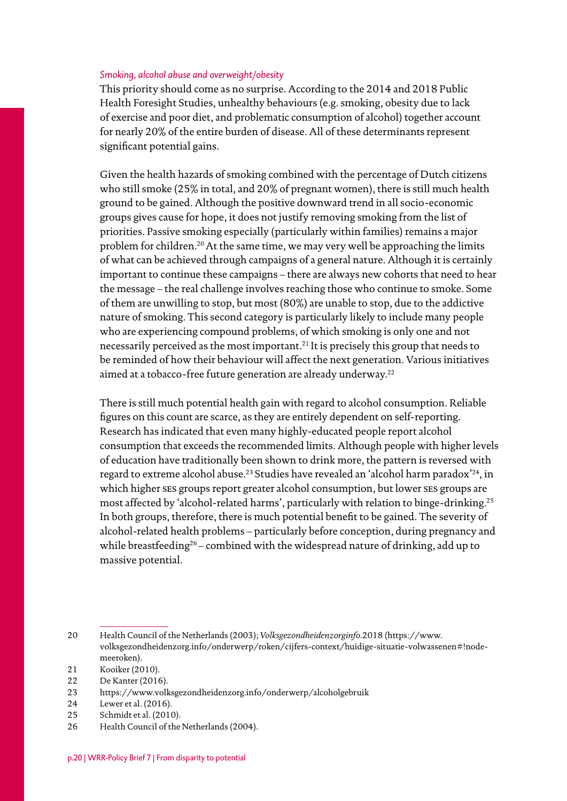#### *Smoking, alcohol abuse and overweight/obesity*

This priority should come as no surprise. According to the 2014 and 2018 Public Health Foresight Studies, unhealthy behaviours (e.g. smoking, obesity due to lack of exercise and poor diet, and problematic consumption of alcohol) together account for nearly 20% of the entire burden of disease. All of these determinants represent significant potential gains.

Given the health hazards of smoking combined with the percentage of Dutch citizens who still smoke (25% in total, and 20% of pregnant women), there is still much health ground to be gained. Although the positive downward trend in all socio-economic groups gives cause for hope, it does not justify removing smoking from the list of priorities. Passive smoking especially (particularly within families) remains a major problem for children.20At the same time, we may very well be approaching the limits of what can be achieved through campaigns of a general nature. Although it is certainly important to continue these campaigns – there are always new cohorts that need to hear the message – the real challenge involves reaching those who continue to smoke. Some of them are unwilling to stop, but most (80%) are unable to stop, due to the addictive nature of smoking. This second category is particularly likely to include many people who are experiencing compound problems, of which smoking is only one and not necessarily perceived as the most important.21 It is precisely this group that needs to be reminded of how their behaviour will affect the next generation. Various initiatives aimed at a tobacco-free future generation are already underway.<sup>22</sup>

There is still much potential health gain with regard to alcohol consumption. Reliable figures on this count are scarce, as they are entirely dependent on self-reporting. Research has indicated that even many highly-educated people report alcohol consumption that exceeds the recommended limits. Although people with higher levels of education have traditionally been shown to drink more, the pattern is reversed with regard to extreme alcohol abuse.23 Studies have revealed an 'alcohol harm paradox'24, in which higher ses groups report greater alcohol consumption, but lower ses groups are most affected by 'alcohol-related harms', particularly with relation to binge-drinking.25 In both groups, therefore, there is much potential benefit to be gained. The severity of alcohol-related health problems – particularly before conception, during pregnancy and while breastfeeding<sup>26</sup> – combined with the widespread nature of drinking, add up to massive potential.

24 Lewer et al. (2016).

26 Health Council of the Netherlands (2004).

<sup>20</sup> Health Council of the Netherlands (2003); *Volksgezondheidenzorginfo*.2018 (https:[//www.](http://www.volksgezondheidenzorg.info/) [volksgezondheidenzorg.info/](http://www.volksgezondheidenzorg.info/)onderwerp/roken/cijfers-context/huidige-situatie-volwassenen#!nodemeeroken).

<sup>21</sup> Kooiker (2010).

<sup>22</sup> De Kanter (2016).

<sup>23</sup> https:[//www.volksgezondheidenzorg.info/onderwerp/alcoholgebruik](http://www.volksgezondheidenzorg.info/onderwerp/alcoholgebruik)

<sup>25</sup> Schmidt et al. (2010).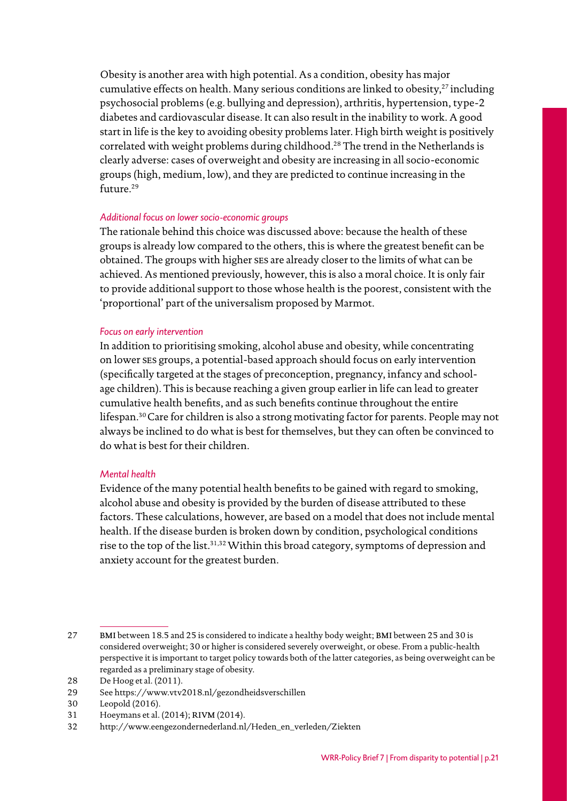Obesity is another area with high potential. As a condition, obesity has major cumulative effects on health. Many serious conditions are linked to obesity, $27$  including psychosocial problems (e.g. bullying and depression), arthritis, hypertension, type-2 diabetes and cardiovascular disease. It can also result in the inability to work. A good start in life is the key to avoiding obesity problems later. High birth weight is positively correlated with weight problems during childhood.28 The trend in the Netherlands is clearly adverse: cases of overweight and obesity are increasing in all socio-economic groups (high, medium, low), and they are predicted to continue increasing in the future.29

#### *Additional focus on lower socio-economic groups*

The rationale behind this choice was discussed above: because the health of these groups is already low compared to the others, this is where the greatest benefit can be obtained. The groups with higher ses are already closer to the limits of what can be achieved. As mentioned previously, however, this is also a moral choice. It is only fair to provide additional support to those whose health is the poorest, consistent with the 'proportional' part of the universalism proposed by Marmot.

#### *Focus on early intervention*

In addition to prioritising smoking, alcohol abuse and obesity, while concentrating on lower ses groups, a potential-based approach should focus on early intervention (specifically targeted at the stages of preconception, pregnancy, infancy and schoolage children). This is because reaching a given group earlier in life can lead to greater cumulative health benefits, and as such benefits continue throughout the entire lifespan.<sup>30</sup> Care for children is also a strong motivating factor for parents. People may not always be inclined to do what is best for themselves, but they can often be convinced to do what is best for their children.

#### *Mental health*

Evidence of the many potential health benefits to be gained with regard to smoking, alcohol abuse and obesity is provided by the burden of disease attributed to these factors. These calculations, however, are based on a model that does not include mental health. If the disease burden is broken down by condition, psychological conditions rise to the top of the list.<sup>31,32</sup> Within this broad category, symptoms of depression and anxiety account for the greatest burden.

<sup>27</sup> BMI between 18.5 and 25 is considered to indicate a healthy body weight; BMI between 25 and 30 is considered overweight; 30 or higher is considered severely overweight, or obese. From a public-health perspective it is important to target policy towards both of the latter categories, as being overweight can be regarded as a preliminary stage of obesity.

<sup>28</sup> De Hoog et al. (2011).

<sup>29</sup> See<https://www.vtv2018.nl/gezondheidsverschillen>

<sup>30</sup> Leopold (2016).

<sup>31</sup> Hoeymans et al. (2014); RIVM (2014).

<sup>32</sup> [http://www.eengezondernederland.nl/Heden\\_en\\_verleden/Ziekten](http://www.eengezondernederland.nl/Heden_en_verleden/Ziekten)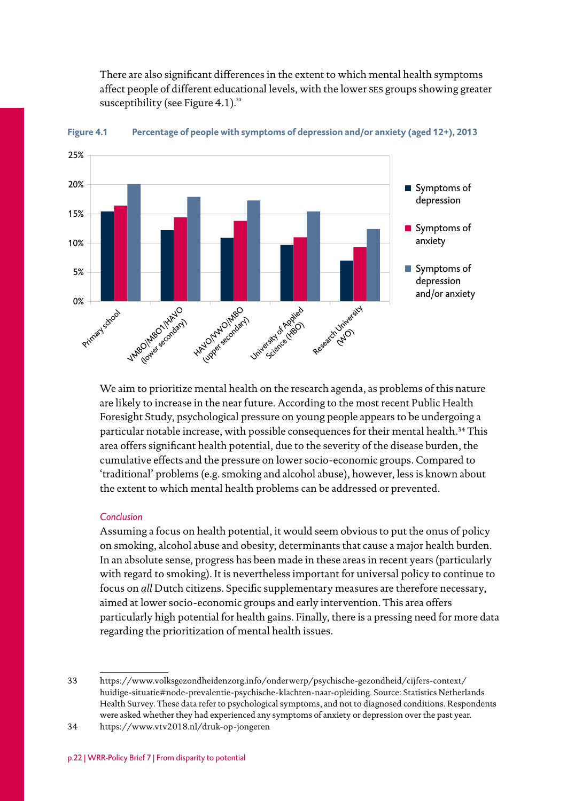There are also significant differences in the extent to which mental health symptoms affect people of different educational levels, with the lower ses groups showing greater susceptibility (see Figure 4.1). $33$ 



**Figure 4.1 Percentage of people with symptoms of depression and/or anxiety (aged 12+), 2013**

We aim to prioritize mental health on the research agenda, as problems of this nature are likely to increase in the near future. According to the most recent Public Health Foresight Study, psychological pressure on young people appears to be undergoing a particular notable increase, with possible consequences for their mental health.<sup>34</sup> This area offers significant health potential, due to the severity of the disease burden, the cumulative effects and the pressure on lower socio-economic groups. Compared to 'traditional' problems (e.g. smoking and alcohol abuse), however, less is known about the extent to which mental health problems can be addressed or prevented.

#### *Conclusion*

Assuming a focus on health potential, it would seem obvious to put the onus of policy on smoking, alcohol abuse and obesity, determinants that cause a major health burden. In an absolute sense, progress has been made in these areas in recent years (particularly with regard to smoking). It is nevertheless important for universal policy to continue to focus on *all* Dutch citizens. Specific supplementary measures are therefore necessary, aimed at lower socio-economic groups and early intervention. This area offers particularly high potential for health gains. Finally, there is a pressing need for more data regarding the prioritization of mental health issues.

<sup>33</sup> https:[//www.volksgezondheidenzorg.info/onderwerp/psychische-gezondheid/cijfers-context/](http://www.volksgezondheidenzorg.info/onderwerp/psychische-gezondheid/cijfers-context/) huidige-situatie#node-prevalentie-psychische-klachten-naar-opleiding. Source: Statistics Netherlands Health Survey. These data refer to psychological symptoms, and not to diagnosed conditions. Respondents were asked whether they had experienced any symptoms of anxiety or depression over the past year.

<sup>34</sup> [https://www.vtv2018.nl/druk-op-jongeren](http://www.vtv2018.nl/druk-op-jongeren)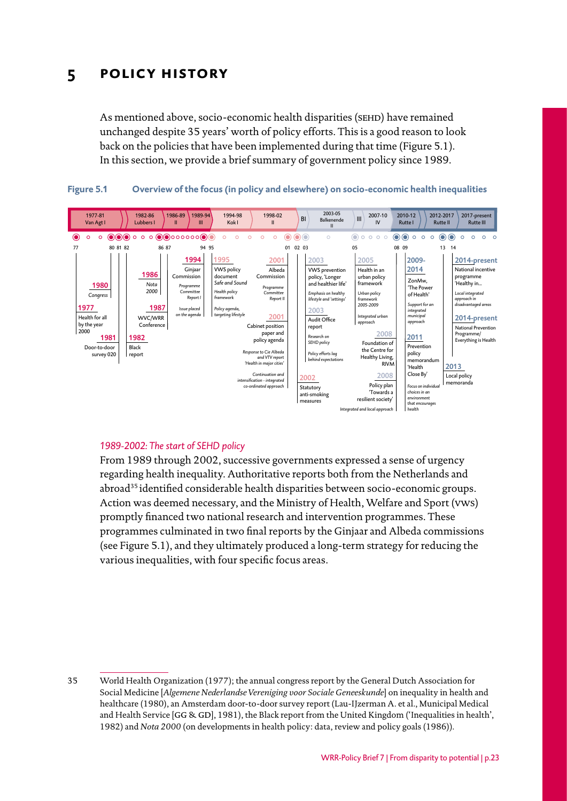## <span id="page-22-0"></span>**5 policy history**

As mentioned above, socio-economic health disparities (SEHD) have remained unchanged despite 35 years' worth of policy efforts. This is a good reason to look back on the policies that have been implemented during that time (Figure 5.1). In this section, we provide a brief summary of government policy since 1989.





#### *1989-2002: The start of SEHD policy*

From 1989 through 2002, successive governments expressed a sense of urgency regarding health inequality. Authoritative reports both from the Netherlands and abroad<sup>35</sup> identified considerable health disparities between socio-economic groups. Action was deemed necessary, and the Ministry of Health, Welfare and Sport (vws) promptly financed two national research and intervention programmes. These programmes culminated in two final reports by the Ginjaar and Albeda commissions (see Figure 5.1), and they ultimately produced a long-term strategy for reducing the various inequalities, with four specific focus areas.

<sup>35</sup> World Health Organization (1977); the annual congress report by the General Dutch Association for Social Medicine [*Algemene Nederlandse Vereniging voor Sociale Geneeskunde*] on inequality in health and healthcare (1980), an Amsterdam door-to-door survey report (Lau-IJzerman A. et al., Municipal Medical and Health Service [GG & GD], 1981), the Black report from the United Kingdom ('Inequalities in health', 1982) and *Nota 2000* (on developments in health policy: data, review and policy goals (1986)).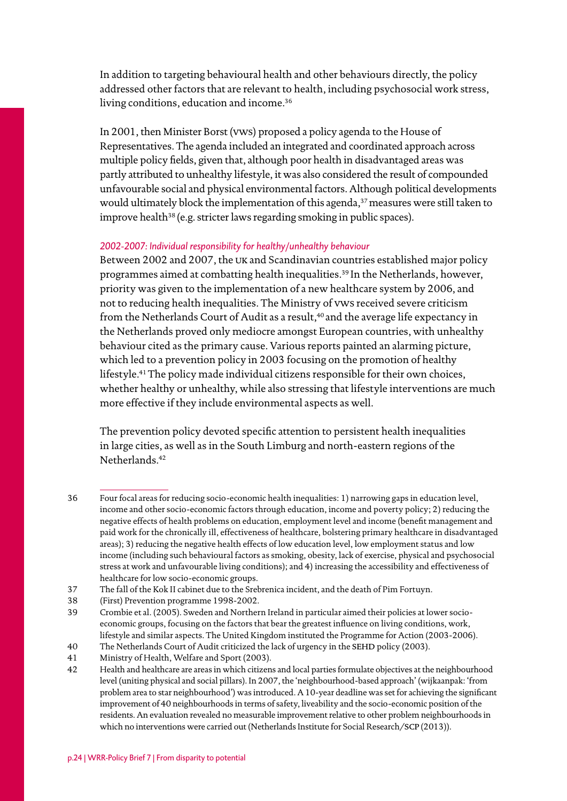In addition to targeting behavioural health and other behaviours directly, the policy addressed other factors that are relevant to health, including psychosocial work stress, living conditions, education and income.<sup>36</sup>

In 2001, then Minister Borst (vws) proposed a policy agenda to the House of Representatives. The agenda included an integrated and coordinated approach across multiple policy fields, given that, although poor health in disadvantaged areas was partly attributed to unhealthy lifestyle, it was also considered the result of compounded unfavourable social and physical environmental factors. Although political developments would ultimately block the implementation of this agenda,<sup>37</sup> measures were still taken to improve health<sup>38</sup> (e.g. stricter laws regarding smoking in public spaces).

#### *2002-2007: Individual responsibility for healthy/unhealthy behaviour*

Between 2002 and 2007, the uk and Scandinavian countries established major policy programmes aimed at combatting health inequalities.39 In the Netherlands, however, priority was given to the implementation of a new healthcare system by 2006, and not to reducing health inequalities. The Ministry of vws received severe criticism from the Netherlands Court of Audit as a result,<sup>40</sup> and the average life expectancy in the Netherlands proved only mediocre amongst European countries, with unhealthy behaviour cited as the primary cause. Various reports painted an alarming picture, which led to a prevention policy in 2003 focusing on the promotion of healthy lifestyle.41The policy made individual citizens responsible for their own choices, whether healthy or unhealthy, while also stressing that lifestyle interventions are much more effective if they include environmental aspects as well.

The prevention policy devoted specific attention to persistent health inequalities in large cities, as well as in the South Limburg and north-eastern regions of the Netherlands.42

<sup>36</sup> Four focal areas for reducing socio-economic health inequalities: 1) narrowing gaps in education level, income and other socio-economic factors through education, income and poverty policy; 2) reducing the negative effects of health problems on education, employment level and income (benefit management and paid work for the chronically ill, effectiveness of healthcare, bolstering primary healthcare in disadvantaged areas); 3) reducing the negative health effects of low education level, low employment status and low income (including such behavioural factors as smoking, obesity, lack of exercise, physical and psychosocial stress at work and unfavourable living conditions); and 4) increasing the accessibility and effectiveness of healthcare for low socio-economic groups.

<sup>37</sup> The fall of the Kok II cabinet due to the Srebrenica incident, and the death of Pim Fortuyn.

<sup>38</sup> (First) Prevention programme 1998-2002.

<sup>39</sup> Crombie et al. (2005). Sweden and Northern Ireland in particular aimed their policies at lower socioeconomic groups, focusing on the factors that bear the greatest influence on living conditions, work, lifestyle and similar aspects. The United Kingdom instituted the Programme for Action (2003-2006).

<sup>40</sup> The Netherlands Court of Audit criticized the lack of urgency in the SEHD policy (2003).

<sup>41</sup> Ministry of Health, Welfare and Sport (2003).

<sup>42</sup> Health and healthcare are areas in which citizens and local parties formulate objectives at the neighbourhood level (uniting physical and social pillars). In 2007, the 'neighbourhood-based approach' (wijkaanpak: 'from problem area to star neighbourhood') was introduced. A 10-year deadline was set for achieving the significant improvement of 40 neighbourhoods in terms of safety, liveability and the socio-economic position of the residents. An evaluation revealed no measurable improvement relative to other problem neighbourhoods in which no interventions were carried out (Netherlands Institute for Social Research/SCP (2013)).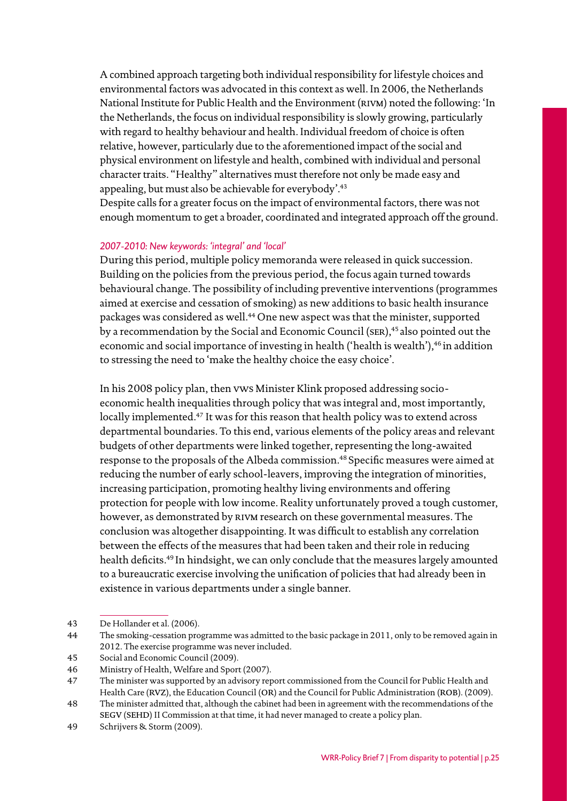A combined approach targeting both individual responsibility for lifestyle choices and environmental factors was advocated in this context as well. In 2006, the Netherlands National Institute for Public Health and the Environment (RIVM) noted the following: 'In the Netherlands, the focus on individual responsibility is slowly growing, particularly with regard to healthy behaviour and health. Individual freedom of choice is often relative, however, particularly due to the aforementioned impact of the social and physical environment on lifestyle and health, combined with individual and personal character traits. "Healthy" alternatives must therefore not only be made easy and appealing, but must also be achievable for everybody'.43

Despite calls for a greater focus on the impact of environmental factors, there was not enough momentum to get a broader, coordinated and integrated approach off the ground.

#### *2007-2010: New keywords: 'integral' and 'local'*

During this period, multiple policy memoranda were released in quick succession. Building on the policies from the previous period, the focus again turned towards behavioural change. The possibility of including preventive interventions (programmes aimed at exercise and cessation of smoking) as new additions to basic health insurance packages was considered as well.<sup>44</sup> One new aspect was that the minister, supported by a recommendation by the Social and Economic Council (SER),<sup>45</sup> also pointed out the economic and social importance of investing in health ('health is wealth'),<sup>46</sup> in addition to stressing the need to 'make the healthy choice the easy choice'.

In his 2008 policy plan, then vws Minister Klink proposed addressing socioeconomic health inequalities through policy that was integral and, most importantly, locally implemented.<sup>47</sup> It was for this reason that health policy was to extend across departmental boundaries. To this end, various elements of the policy areas and relevant budgets of other departments were linked together, representing the long-awaited response to the proposals of the Albeda commission.<sup>48</sup> Specific measures were aimed at reducing the number of early school-leavers, improving the integration of minorities, increasing participation, promoting healthy living environments and offering protection for people with low income. Reality unfortunately proved a tough customer, however, as demonstrated by rivm research on these governmental measures. The conclusion was altogether disappointing. It was difficult to establish any correlation between the effects of the measures that had been taken and their role in reducing health deficits.49 In hindsight, we can only conclude that the measures largely amounted to a bureaucratic exercise involving the unification of policies that had already been in existence in various departments under a single banner.

<sup>43</sup> De Hollander et al. (2006).

<sup>44</sup> The smoking-cessation programme was admitted to the basic package in 2011, only to be removed again in 2012. The exercise programme was never included.

<sup>45</sup> Social and Economic Council (2009).

<sup>46</sup> Ministry of Health, Welfare and Sport (2007).

<sup>47</sup> The minister was supported by an advisory report commissioned from the Council for Public Health and Health Care (RVZ), the Education Council (OR) and the Council for Public Administration (ROB). (2009).

<sup>48</sup> The minister admitted that, although the cabinet had been in agreement with the recommendations of the segv (sehd) II Commission at that time, it had never managed to create a policy plan.

<sup>49</sup> Schrijvers & Storm (2009).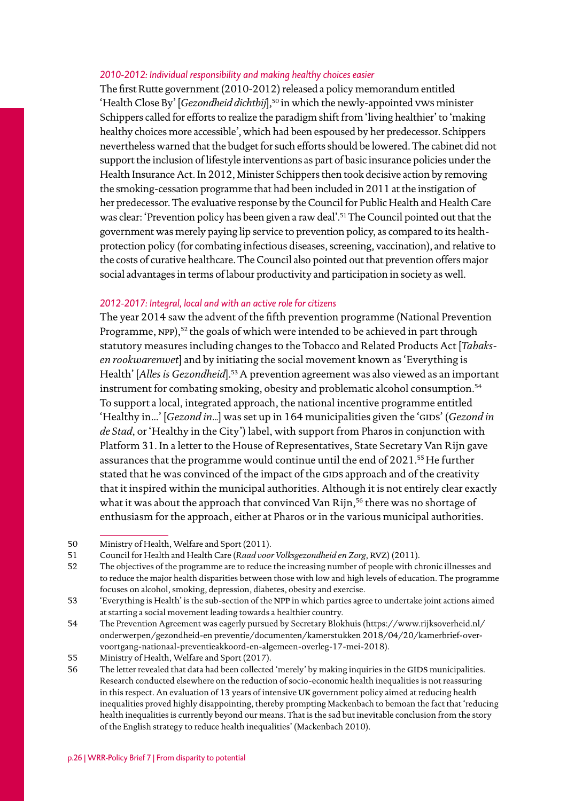#### *2010-2012: Individual responsibility and making healthy choices easier*

The first Rutte government (2010-2012) released a policy memorandum entitled 'Health Close By' [*Gezondheid dichtbij*],<sup>50</sup> in which the newly-appointed vws minister Schippers called for efforts to realize the paradigm shift from 'living healthier' to 'making healthy choices more accessible', which had been espoused by her predecessor. Schippers nevertheless warned that the budget for such efforts should be lowered. The cabinet did not support the inclusion of lifestyle interventions as part of basic insurance policies under the Health Insurance Act. In 2012, Minister Schippers then took decisive action by removing the smoking-cessation programme that had been included in 2011 at the instigation of her predecessor. The evaluative response by the Council for Public Health and Health Care was clear: 'Prevention policy has been given a raw deal'.51The Council pointed out that the government was merely paying lip service to prevention policy, as compared to its healthprotection policy (for combating infectious diseases, screening, vaccination), and relative to the costs of curative healthcare. The Council also pointed out that prevention offers major social advantages in terms of labour productivity and participation in society as well.

#### *2012-2017: Integral, local and with an active role for citizens*

The year 2014 saw the advent of the fifth prevention programme (National Prevention Programme, NPP),<sup>52</sup> the goals of which were intended to be achieved in part through statutory measures including changes to the Tobacco and Related Products Act [*Tabaksen rookwarenwet*] and by initiating the social movement known as 'Everything is Health' [*Alles is Gezondheid*].53A prevention agreement was also viewed as an important instrument for combating smoking, obesity and problematic alcohol consumption.<sup>54</sup> To support a local, integrated approach, the national incentive programme entitled 'Healthy in...' [*Gezond in...*] was set up in 164 municipalities given the 'GIDS' (*Gezond in de Stad*, or 'Healthy in the City') label, with support from Pharos in conjunction with Platform 31. In a letter to the House of Representatives, State Secretary Van Rijn gave assurances that the programme would continue until the end of 2021.<sup>55</sup> He further stated that he was convinced of the impact of the GIDS approach and of the creativity that it inspired within the municipal authorities. Although it is not entirely clear exactly what it was about the approach that convinced Van Rijn,<sup>56</sup> there was no shortage of enthusiasm for the approach, either at Pharos or in the various municipal authorities.

<sup>50</sup> Ministry of Health, Welfare and Sport (2011).

<sup>51</sup> Council for Health and Health Care (*Raad voor Volksgezondheid en Zorg*, RVZ) (2011).

<sup>52</sup> The objectives of the programme are to reduce the increasing number of people with chronic illnesses and to reduce the major health disparities between those with low and high levels of education. The programme focuses on alcohol, smoking, depression, diabetes, obesity and exercise.

<sup>53</sup> 'Everything is Health' is the sub-section of the npp in which parties agree to undertake joint actions aimed at starting a social movement leading towards a healthier country.

<sup>54</sup> The Prevention Agreement was eagerly pursued by Secretary Blokhuis (https://[www.rijksoverheid.nl/](http://www.rijksoverheid.nl/onderwerpen/gezondheid-en preventie/documenten/kamerstukken/ 2018/04/20/kamerbrief-over-voortgang-nationaal-preventieakkoord-en-algemeen-overleg-17-mei-2018) [onderwerpen/gezondheid-en preventie/documenten/kamerstukken 2018/04/20/kamerbrief-over](http://www.rijksoverheid.nl/onderwerpen/gezondheid-en preventie/documenten/kamerstukken/ 2018/04/20/kamerbrief-over-voortgang-nationaal-preventieakkoord-en-algemeen-overleg-17-mei-2018)[voortgang-nationaal-preventieakkoord-en-algemeen-overleg-17-mei-2018\)](http://www.rijksoverheid.nl/onderwerpen/gezondheid-en preventie/documenten/kamerstukken/ 2018/04/20/kamerbrief-over-voortgang-nationaal-preventieakkoord-en-algemeen-overleg-17-mei-2018).

<sup>55</sup> Ministry of Health, Welfare and Sport (2017).

<sup>56</sup> The letter revealed that data had been collected 'merely' by making inquiries in the GIDS municipalities. Research conducted elsewhere on the reduction of socio-economic health inequalities is not reassuring in this respect. An evaluation of 13 years of intensive UK government policy aimed at reducing health inequalities proved highly disappointing, thereby prompting Mackenbach to bemoan the fact that 'reducing health inequalities is currently beyond our means. That is the sad but inevitable conclusion from the story of the English strategy to reduce health inequalities' (Mackenbach 2010).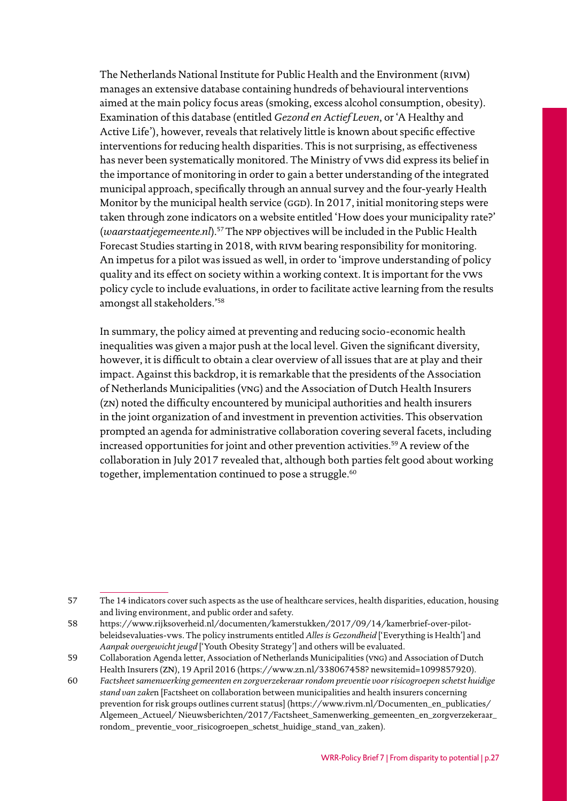The Netherlands National Institute for Public Health and the Environment (RIVM) manages an extensive database containing hundreds of behavioural interventions aimed at the main policy focus areas (smoking, excess alcohol consumption, obesity). Examination of this database (entitled *Gezond en Actief Leven*, or 'A Healthy and Active Life'), however, reveals that relatively little is known about specific effective interventions for reducing health disparities. This is not surprising, as effectiveness has never been systematically monitored. The Ministry of vws did express its belief in the importance of monitoring in order to gain a better understanding of the integrated municipal approach, specifically through an annual survey and the four-yearly Health Monitor by the municipal health service (GGD). In 2017, initial monitoring steps were taken through zone indicators on a website entitled 'How does your municipality rate?' (*waarstaatjegemeente.nl*).57The npp objectives will be included in the Public Health Forecast Studies starting in 2018, with RIVM bearing responsibility for monitoring. An impetus for a pilot was issued as well, in order to 'improve understanding of policy quality and its effect on society within a working context. It is important for the vws policy cycle to include evaluations, in order to facilitate active learning from the results amongst all stakeholders.'58

In summary, the policy aimed at preventing and reducing socio-economic health inequalities was given a major push at the local level. Given the significant diversity, however, it is difficult to obtain a clear overview of all issues that are at play and their impact. Against this backdrop, it is remarkable that the presidents of the Association of Netherlands Municipalities (vng) and the Association of Dutch Health Insurers (zn) noted the difficulty encountered by municipal authorities and health insurers in the joint organization of and investment in prevention activities. This observation prompted an agenda for administrative collaboration covering several facets, including increased opportunities for joint and other prevention activities.<sup>59</sup> A review of the collaboration in July 2017 revealed that, although both parties felt good about working together, implementation continued to pose a struggle.<sup>60</sup>

<sup>57</sup> The 14 indicators cover such aspects as the use of healthcare services, health disparities, education, housing and living environment, and public order and safety.

<sup>58</sup> [https://www.rijksoverheid.nl/documenten/kamerstukken/2017/09/14/kamerbrief-over-pilot](http://www.rijksoverheid.nl/documenten/kamerstukken/2017/09/14/kamerbrief-over-pilot-)beleidsevaluaties-vws. The policy instruments entitled *Alles is Gezondheid* ['Everything is Health'] and *Aanpak overgewicht jeugd* ['Youth Obesity Strategy'] and others will be evaluated.

<sup>59</sup> Collaboration Agenda letter, Association of Netherlands Municipalities (vng) and Association of Dutch Health Insurers (zn), 19 April 2016 [\(https://www.zn.nl/338067458?](http://www.zn.nl/338067458) newsitemid=1099857920).

<sup>60</sup> *Factsheet samenwerking gemeenten en zorgverzekeraar rondom preventie voor risicogroepen schetst huidige stand van zake*n [Factsheet on collaboration between municipalities and health insurers concerning prevention for risk groups outlines current status] [\(https://www.rivm.nl/Documenten\\_en\\_publicaties/](http://www.rivm.nl/Documenten_en_publicaties/Algemeen_Actueel/) Algemeen Actueel/ Nieuwsberichten/2017/Factsheet Samenwerking gemeenten en zorgverzekeraar rondom\_ preventie\_voor\_risicogroepen\_schetst\_huidige\_stand\_van\_zaken).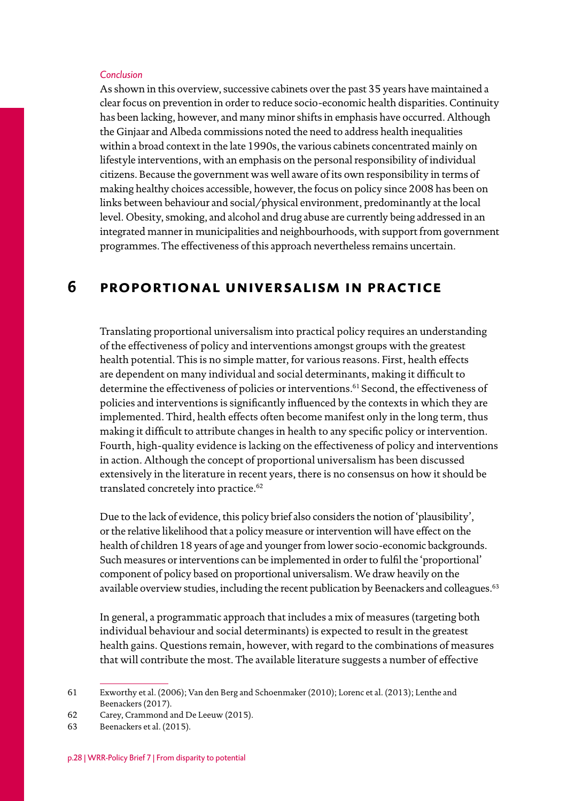#### <span id="page-27-0"></span>*Conclusion*

As shown in this overview, successive cabinets over the past 35 years have maintained a clear focus on prevention in order to reduce socio-economic health disparities. Continuity has been lacking, however, and many minor shifts in emphasis have occurred. Although the Ginjaar and Albeda commissions noted the need to address health inequalities within a broad context in the late 1990s, the various cabinets concentrated mainly on lifestyle interventions, with an emphasis on the personal responsibility of individual citizens. Because the government was well aware of its own responsibility in terms of making healthy choices accessible, however, the focus on policy since 2008 has been on links between behaviour and social/physical environment, predominantly at the local level. Obesity, smoking, and alcohol and drug abuse are currently being addressed in an integrated manner in municipalities and neighbourhoods, with support from government programmes. The effectiveness of this approach nevertheless remains uncertain.

## **6 proportional universalism in practice**

Translating proportional universalism into practical policy requires an understanding of the effectiveness of policy and interventions amongst groups with the greatest health potential. This is no simple matter, for various reasons. First, health effects are dependent on many individual and social determinants, making it difficult to determine the effectiveness of policies or interventions.<sup>61</sup> Second, the effectiveness of policies and interventions is significantly influenced by the contexts in which they are implemented. Third, health effects often become manifest only in the long term, thus making it difficult to attribute changes in health to any specific policy or intervention. Fourth, high-quality evidence is lacking on the effectiveness of policy and interventions in action. Although the concept of proportional universalism has been discussed extensively in the literature in recent years, there is no consensus on how it should be translated concretely into practice.<sup>62</sup>

Due to the lack of evidence, this policy brief also considers the notion of 'plausibility', or the relative likelihood that a policy measure or intervention will have effect on the health of children 18 years of age and younger from lower socio-economic backgrounds. Such measures or interventions can be implemented in order to fulfil the 'proportional' component of policy based on proportional universalism. We draw heavily on the available overview studies, including the recent publication by Beenackers and colleagues.<sup>63</sup>

In general, a programmatic approach that includes a mix of measures (targeting both individual behaviour and social determinants) is expected to result in the greatest health gains. Questions remain, however, with regard to the combinations of measures that will contribute the most. The available literature suggests a number of effective

<sup>61</sup> Exworthy et al. (2006); Van den Berg and Schoenmaker (2010); Lorenc et al. (2013); Lenthe and Beenackers (2017).

<sup>62</sup> Carey, Crammond and De Leeuw (2015).

<sup>63</sup> Beenackers et al. (2015).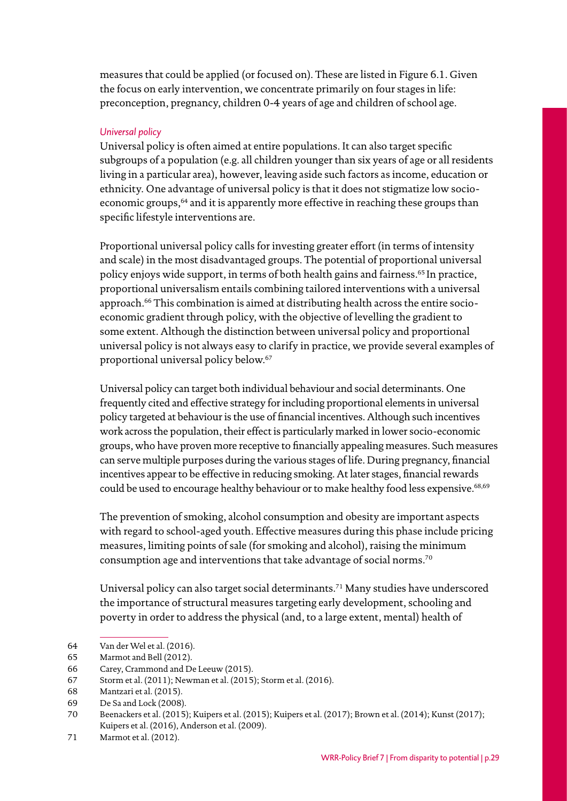measures that could be applied (or focused on). These are listed in Figure 6.1. Given the focus on early intervention, we concentrate primarily on four stages in life: preconception, pregnancy, children 0-4 years of age and children of school age.

#### *Universal policy*

Universal policy is often aimed at entire populations. It can also target specific subgroups of a population (e.g. all children younger than six years of age or all residents living in a particular area), however, leaving aside such factors as income, education or ethnicity. One advantage of universal policy is that it does not stigmatize low socioeconomic groups,<sup>64</sup> and it is apparently more effective in reaching these groups than specific lifestyle interventions are.

Proportional universal policy calls for investing greater effort (in terms of intensity and scale) in the most disadvantaged groups. The potential of proportional universal policy enjoys wide support, in terms of both health gains and fairness.<sup>65</sup> In practice, proportional universalism entails combining tailored interventions with a universal approach.66 This combination is aimed at distributing health across the entire socioeconomic gradient through policy, with the objective of levelling the gradient to some extent. Although the distinction between universal policy and proportional universal policy is not always easy to clarify in practice, we provide several examples of proportional universal policy below.67

Universal policy can target both individual behaviour and social determinants. One frequently cited and effective strategy for including proportional elements in universal policy targeted at behaviour is the use of financial incentives. Although such incentives work across the population, their effect is particularly marked in lower socio-economic groups, who have proven more receptive to financially appealing measures. Such measures can serve multiple purposes during the various stages of life. During pregnancy, financial incentives appear to be effective in reducing smoking. At later stages, financial rewards could be used to encourage healthy behaviour or to make healthy food less expensive.<sup>68,69</sup>

The prevention of smoking, alcohol consumption and obesity are important aspects with regard to school-aged youth. Effective measures during this phase include pricing measures, limiting points of sale (for smoking and alcohol), raising the minimum consumption age and interventions that take advantage of social norms.70

Universal policy can also target social determinants.71 Many studies have underscored the importance of structural measures targeting early development, schooling and poverty in order to address the physical (and, to a large extent, mental) health of

<sup>64</sup> Van der Wel et al. (2016).

<sup>65</sup> Marmot and Bell (2012).

<sup>66</sup> Carey, Crammond and De Leeuw (2015).

<sup>67</sup> Storm et al. (2011); Newman et al. (2015); Storm et al. (2016).

<sup>68</sup> Mantzari et al. (2015).

<sup>69</sup> De Sa and Lock (2008).

<sup>70</sup> Beenackers et al. (2015); Kuipers et al. (2015); Kuipers et al. (2017); Brown et al. (2014); Kunst (2017); Kuipers et al. (2016), Anderson et al. (2009).

<sup>71</sup> Marmot et al. (2012).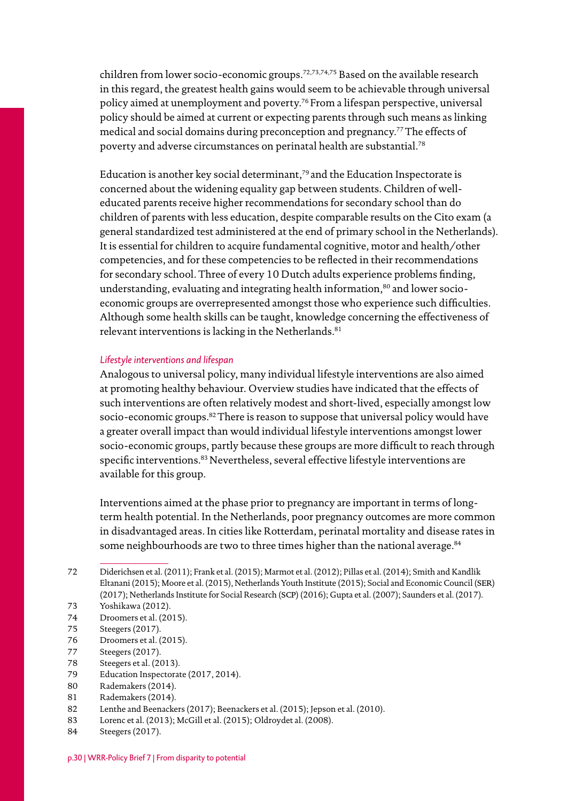children from lower socio-economic groups.72,73,74,75 Based on the available research in this regard, the greatest health gains would seem to be achievable through universal policy aimed at unemployment and poverty.76 From a lifespan perspective, universal policy should be aimed at current or expecting parents through such means as linking medical and social domains during preconception and pregnancy.77The effects of poverty and adverse circumstances on perinatal health are substantial.78

Education is another key social determinant,<sup>79</sup> and the Education Inspectorate is concerned about the widening equality gap between students. Children of welleducated parents receive higher recommendations for secondary school than do children of parents with less education, despite comparable results on the Cito exam (a general standardized test administered at the end of primary school in the Netherlands). It is essential for children to acquire fundamental cognitive, motor and health/other competencies, and for these competencies to be reflected in their recommendations for secondary school. Three of every 10 Dutch adults experience problems finding, understanding, evaluating and integrating health information,<sup>80</sup> and lower socioeconomic groups are overrepresented amongst those who experience such difficulties. Although some health skills can be taught, knowledge concerning the effectiveness of relevant interventions is lacking in the Netherlands.<sup>81</sup>

#### *Lifestyle interventions and lifespan*

Analogous to universal policy, many individual lifestyle interventions are also aimed at promoting healthy behaviour. Overview studies have indicated that the effects of such interventions are often relatively modest and short-lived, especially amongst low socio-economic groups.<sup>82</sup> There is reason to suppose that universal policy would have a greater overall impact than would individual lifestyle interventions amongst lower socio-economic groups, partly because these groups are more difficult to reach through specific interventions.<sup>83</sup> Nevertheless, several effective lifestyle interventions are available for this group.

Interventions aimed at the phase prior to pregnancy are important in terms of longterm health potential. In the Netherlands, poor pregnancy outcomes are more common in disadvantaged areas. In cities like Rotterdam, perinatal mortality and disease rates in some neighbourhoods are two to three times higher than the national average.<sup>84</sup>

76 Droomers et al. (2015).

- 78 Steegers et al. (2013).
- 79 Education Inspectorate (2017, 2014).
- 80 Rademakers (2014).
- 81 Rademakers (2014).
- 82 Lenthe and Beenackers (2017); Beenackers et al. (2015); Jepson et al. (2010).
- 83 Lorenc et al. (2013); McGill et al. (2015); Oldroydet al. (2008).
- 84 Steegers (2017).

<sup>72</sup> Diderichsen et al. (2011); Frank et al. (2015); Marmot et al. (2012); Pillas et al. (2014); Smith and Kandlik Eltanani (2015); Moore et al. (2015), Netherlands Youth Institute (2015); Social and Economic Council (ser) (2017); Netherlands Institute for Social Research (scp) (2016); Gupta et al. (2007); Saunders et al. (2017).

<sup>73</sup> Yoshikawa (2012).

<sup>74</sup> Droomers et al. (2015).

<sup>75</sup> Steegers (2017).

<sup>77</sup> Steegers (2017).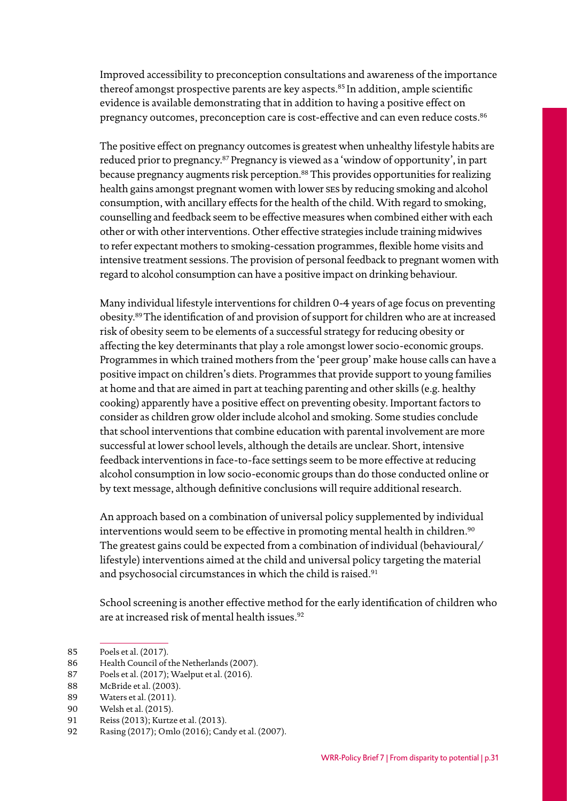Improved accessibility to preconception consultations and awareness of the importance thereof amongst prospective parents are key aspects.<sup>85</sup> In addition, ample scientific evidence is available demonstrating that in addition to having a positive effect on pregnancy outcomes, preconception care is cost-effective and can even reduce costs.<sup>86</sup>

The positive effect on pregnancy outcomes is greatest when unhealthy lifestyle habits are reduced prior to pregnancy.87 Pregnancy is viewed as a 'window of opportunity', in part because pregnancy augments risk perception.88 This provides opportunities for realizing health gains amongst pregnant women with lower ses by reducing smoking and alcohol consumption, with ancillary effects for the health of the child. With regard to smoking, counselling and feedback seem to be effective measures when combined either with each other or with other interventions. Other effective strategies include training midwives to refer expectant mothers to smoking-cessation programmes, flexible home visits and intensive treatment sessions. The provision of personal feedback to pregnant women with regard to alcohol consumption can have a positive impact on drinking behaviour.

Many individual lifestyle interventions for children 0-4 years of age focus on preventing obesity.89The identification of and provision of support for children who are at increased risk of obesity seem to be elements of a successful strategy for reducing obesity or affecting the key determinants that play a role amongst lower socio-economic groups. Programmes in which trained mothers from the 'peer group' make house calls can have a positive impact on children's diets. Programmes that provide support to young families at home and that are aimed in part at teaching parenting and other skills (e.g. healthy cooking) apparently have a positive effect on preventing obesity. Important factors to consider as children grow older include alcohol and smoking. Some studies conclude that school interventions that combine education with parental involvement are more successful at lower school levels, although the details are unclear. Short, intensive feedback interventions in face-to-face settings seem to be more effective at reducing alcohol consumption in low socio-economic groups than do those conducted online or by text message, although definitive conclusions will require additional research.

An approach based on a combination of universal policy supplemented by individual interventions would seem to be effective in promoting mental health in children.<sup>90</sup> The greatest gains could be expected from a combination of individual (behavioural/ lifestyle) interventions aimed at the child and universal policy targeting the material and psychosocial circumstances in which the child is raised.<sup>91</sup>

School screening is another effective method for the early identification of children who are at increased risk of mental health issues.<sup>92</sup>

<sup>85</sup> Poels et al. (2017).

<sup>86</sup> Health Council of the Netherlands (2007).

<sup>87</sup> Poels et al. (2017); Waelput et al. (2016).

<sup>88</sup> McBride et al. (2003).

<sup>89</sup> Waters et al. (2011).

<sup>90</sup> Welsh et al. (2015).

<sup>91</sup> Reiss (2013); Kurtze et al. (2013).

<sup>92</sup> Rasing (2017); Omlo (2016); Candy et al. (2007).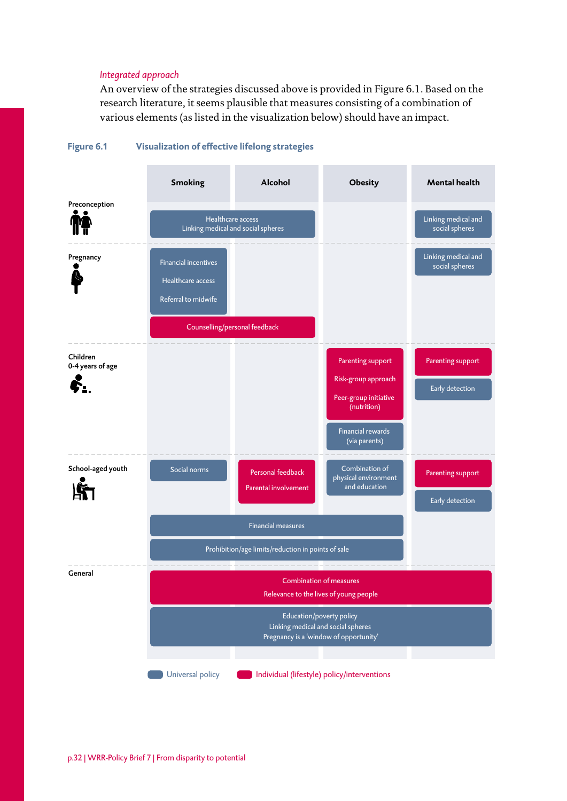#### *Integrated approach*

An overview of the strategies discussed above is provided in Figure 6.1. Based on the research literature, it seems plausible that measures consisting of a combination of various elements (as listed in the visualization below) should have an impact.



#### **Figure 6.1 Visualization of effective lifelong strategies**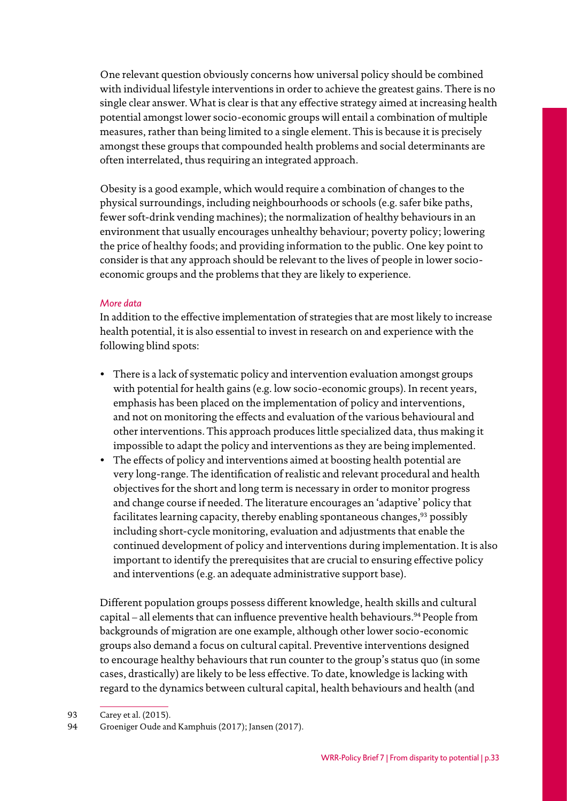One relevant question obviously concerns how universal policy should be combined with individual lifestyle interventions in order to achieve the greatest gains. There is no single clear answer. What is clear is that any effective strategy aimed at increasing health potential amongst lower socio-economic groups will entail a combination of multiple measures, rather than being limited to a single element. This is because it is precisely amongst these groups that compounded health problems and social determinants are often interrelated, thus requiring an integrated approach.

Obesity is a good example, which would require a combination of changes to the physical surroundings, including neighbourhoods or schools (e.g. safer bike paths, fewer soft-drink vending machines); the normalization of healthy behaviours in an environment that usually encourages unhealthy behaviour; poverty policy; lowering the price of healthy foods; and providing information to the public. One key point to consider is that any approach should be relevant to the lives of people in lower socioeconomic groups and the problems that they are likely to experience.

#### *More data*

In addition to the effective implementation of strategies that are most likely to increase health potential, it is also essential to invest in research on and experience with the following blind spots:

- There is a lack of systematic policy and intervention evaluation amongst groups with potential for health gains (e.g. low socio-economic groups). In recent years, emphasis has been placed on the implementation of policy and interventions, and not on monitoring the effects and evaluation of the various behavioural and other interventions. This approach produces little specialized data, thus making it impossible to adapt the policy and interventions as they are being implemented.
- The effects of policy and interventions aimed at boosting health potential are very long-range. The identification of realistic and relevant procedural and health objectives for the short and long term is necessary in order to monitor progress and change course if needed. The literature encourages an 'adaptive' policy that facilitates learning capacity, thereby enabling spontaneous changes,  $93$  possibly including short-cycle monitoring, evaluation and adjustments that enable the continued development of policy and interventions during implementation. It is also important to identify the prerequisites that are crucial to ensuring effective policy and interventions (e.g. an adequate administrative support base).

Different population groups possess different knowledge, health skills and cultural capital – all elements that can influence preventive health behaviours.<sup>94</sup> People from backgrounds of migration are one example, although other lower socio-economic groups also demand a focus on cultural capital. Preventive interventions designed to encourage healthy behaviours that run counter to the group's status quo (in some cases, drastically) are likely to be less effective. To date, knowledge is lacking with regard to the dynamics between cultural capital, health behaviours and health (and

<sup>93</sup> Carey et al. (2015).

<sup>94</sup> Groeniger Oude and Kamphuis (2017); Jansen (2017).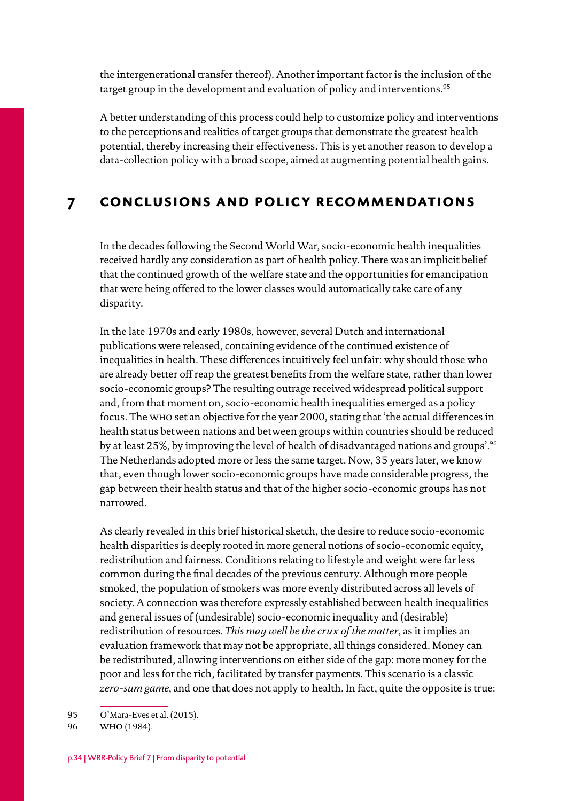<span id="page-33-0"></span>the intergenerational transfer thereof). Another important factor is the inclusion of the target group in the development and evaluation of policy and interventions.<sup>95</sup>

A better understanding of this process could help to customize policy and interventions to the perceptions and realities of target groups that demonstrate the greatest health potential, thereby increasing their effectiveness. This is yet another reason to develop a data-collection policy with a broad scope, aimed at augmenting potential health gains.

## **7 conclusions and policy recommendations**

In the decades following the Second World War, socio-economic health inequalities received hardly any consideration as part of health policy. There was an implicit belief that the continued growth of the welfare state and the opportunities for emancipation that were being offered to the lower classes would automatically take care of any disparity.

In the late 1970s and early 1980s, however, several Dutch and international publications were released, containing evidence of the continued existence of inequalities in health. These differences intuitively feel unfair: why should those who are already better off reap the greatest benefits from the welfare state, rather than lower socio-economic groups? The resulting outrage received widespread political support and, from that moment on, socio-economic health inequalities emerged as a policy focus. The who set an objective for the year 2000, stating that 'the actual differences in health status between nations and between groups within countries should be reduced by at least 25%, by improving the level of health of disadvantaged nations and groups'.96 The Netherlands adopted more or less the same target. Now, 35 years later, we know that, even though lower socio-economic groups have made considerable progress, the gap between their health status and that of the higher socio-economic groups has not narrowed.

As clearly revealed in this brief historical sketch, the desire to reduce socio-economic health disparities is deeply rooted in more general notions of socio-economic equity, redistribution and fairness. Conditions relating to lifestyle and weight were far less common during the final decades of the previous century. Although more people smoked, the population of smokers was more evenly distributed across all levels of society. A connection was therefore expressly established between health inequalities and general issues of (undesirable) socio-economic inequality and (desirable) redistribution of resources. *This may well be the crux of the matter*, as it implies an evaluation framework that may not be appropriate, all things considered. Money can be redistributed, allowing interventions on either side of the gap: more money for the poor and less for the rich, facilitated by transfer payments. This scenario is a classic *zero-sum game*, and one that does not apply to health. In fact, quite the opposite is true:

95 O'Mara-Eves et al. (2015).

<sup>96</sup> who (1984).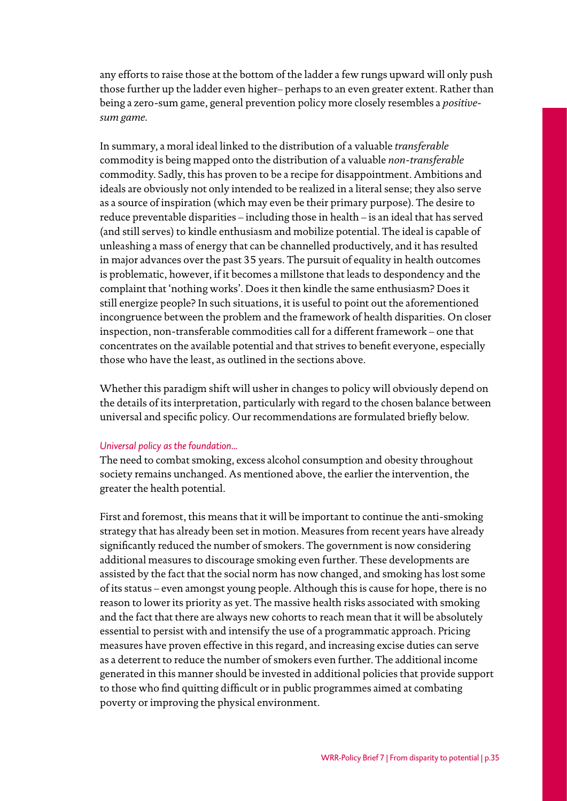any efforts to raise those at the bottom of the ladder a few rungs upward will only push those further up the ladder even higher– perhaps to an even greater extent. Rather than being a zero-sum game, general prevention policy more closely resembles a *positivesum game*.

In summary, a moral ideal linked to the distribution of a valuable *transferable* commodity is being mapped onto the distribution of a valuable *non-transferable* commodity. Sadly, this has proven to be a recipe for disappointment. Ambitions and ideals are obviously not only intended to be realized in a literal sense; they also serve as a source of inspiration (which may even be their primary purpose). The desire to reduce preventable disparities – including those in health – is an ideal that has served (and still serves) to kindle enthusiasm and mobilize potential. The ideal is capable of unleashing a mass of energy that can be channelled productively, and it has resulted in major advances over the past 35 years. The pursuit of equality in health outcomes is problematic, however, if it becomes a millstone that leads to despondency and the complaint that 'nothing works'. Does it then kindle the same enthusiasm? Does it still energize people? In such situations, it is useful to point out the aforementioned incongruence between the problem and the framework of health disparities. On closer inspection, non-transferable commodities call for a different framework – one that concentrates on the available potential and that strives to benefit everyone, especially those who have the least, as outlined in the sections above.

Whether this paradigm shift will usher in changes to policy will obviously depend on the details of its interpretation, particularly with regard to the chosen balance between universal and specific policy. Our recommendations are formulated briefly below.

#### *Universal policy as the foundation...*

The need to combat smoking, excess alcohol consumption and obesity throughout society remains unchanged. As mentioned above, the earlier the intervention, the greater the health potential.

First and foremost, this means that it will be important to continue the anti-smoking strategy that has already been set in motion. Measures from recent years have already significantly reduced the number of smokers. The government is now considering additional measures to discourage smoking even further. These developments are assisted by the fact that the social norm has now changed, and smoking has lost some of its status – even amongst young people. Although this is cause for hope, there is no reason to lower its priority as yet. The massive health risks associated with smoking and the fact that there are always new cohorts to reach mean that it will be absolutely essential to persist with and intensify the use of a programmatic approach. Pricing measures have proven effective in this regard, and increasing excise duties can serve as a deterrent to reduce the number of smokers even further. The additional income generated in this manner should be invested in additional policies that provide support to those who find quitting difficult or in public programmes aimed at combating poverty or improving the physical environment.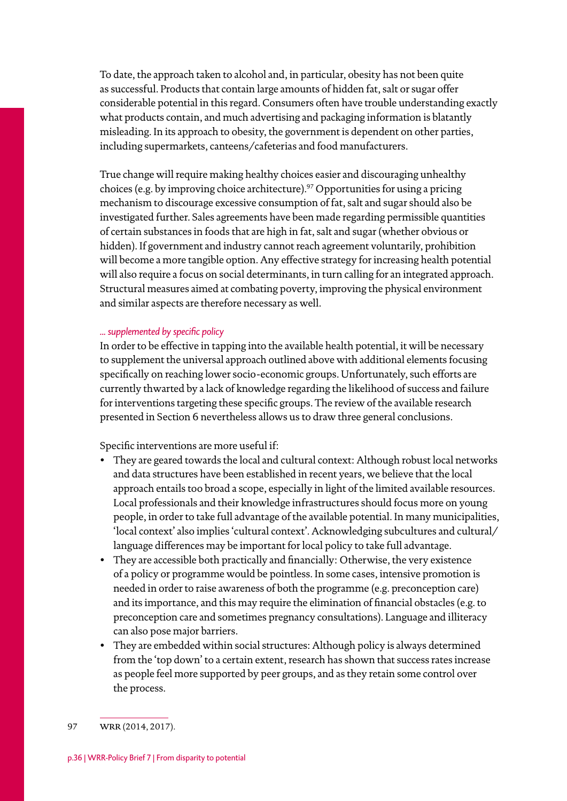To date, the approach taken to alcohol and, in particular, obesity has not been quite as successful. Products that contain large amounts of hidden fat, salt or sugar offer considerable potential in this regard. Consumers often have trouble understanding exactly what products contain, and much advertising and packaging information is blatantly misleading. In its approach to obesity, the government is dependent on other parties, including supermarkets, canteens/cafeterias and food manufacturers.

True change will require making healthy choices easier and discouraging unhealthy choices (e.g. by improving choice architecture).97Opportunities for using a pricing mechanism to discourage excessive consumption of fat, salt and sugar should also be investigated further. Sales agreements have been made regarding permissible quantities of certain substances in foods that are high in fat, salt and sugar (whether obvious or hidden). If government and industry cannot reach agreement voluntarily, prohibition will become a more tangible option. Any effective strategy for increasing health potential will also require a focus on social determinants, in turn calling for an integrated approach. Structural measures aimed at combating poverty, improving the physical environment and similar aspects are therefore necessary as well.

#### *... supplemented by specific policy*

In order to be effective in tapping into the available health potential, it will be necessary to supplement the universal approach outlined above with additional elements focusing specifically on reaching lower socio-economic groups. Unfortunately, such efforts are currently thwarted by a lack of knowledge regarding the likelihood of success and failure for interventions targeting these specific groups. The review of the available research presented in Section 6 nevertheless allows us to draw three general conclusions.

Specific interventions are more useful if:

- They are geared towards the local and cultural context: Although robust local networks and data structures have been established in recent years, we believe that the local approach entails too broad a scope, especially in light of the limited available resources. Local professionals and their knowledge infrastructures should focus more on young people, in order to take full advantage of the available potential. In many municipalities, 'local context' also implies 'cultural context'. Acknowledging subcultures and cultural/ language differences may be important for local policy to take full advantage.
- They are accessible both practically and financially: Otherwise, the very existence of a policy or programme would be pointless. In some cases, intensive promotion is needed in order to raise awareness of both the programme (e.g. preconception care) and its importance, and this may require the elimination of financial obstacles (e.g. to preconception care and sometimes pregnancy consultations). Language and illiteracy can also pose major barriers.
- They are embedded within social structures: Although policy is always determined from the 'top down' to a certain extent, research has shown that success rates increase as people feel more supported by peer groups, and as they retain some control over the process.

97 WRR (2014, 2017).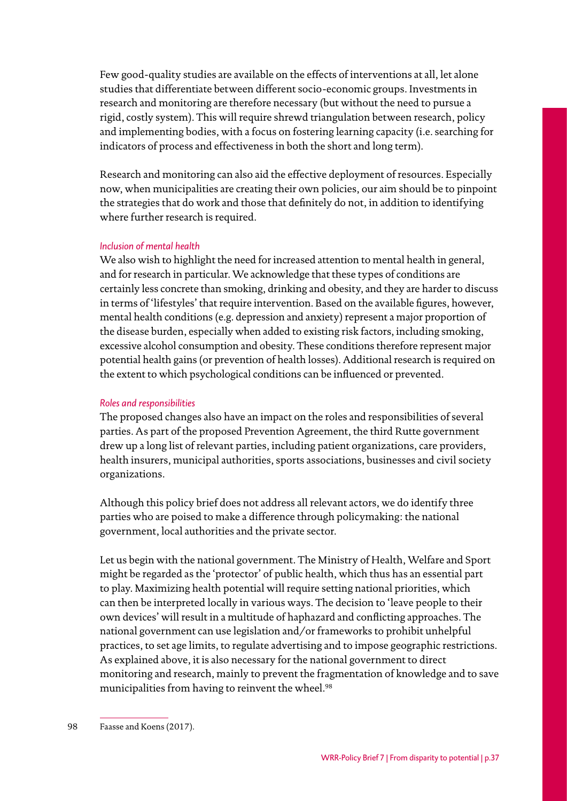Few good-quality studies are available on the effects of interventions at all, let alone studies that differentiate between different socio-economic groups. Investments in research and monitoring are therefore necessary (but without the need to pursue a rigid, costly system). This will require shrewd triangulation between research, policy and implementing bodies, with a focus on fostering learning capacity (i.e. searching for indicators of process and effectiveness in both the short and long term).

Research and monitoring can also aid the effective deployment of resources. Especially now, when municipalities are creating their own policies, our aim should be to pinpoint the strategies that do work and those that definitely do not, in addition to identifying where further research is required.

#### *Inclusion of mental health*

We also wish to highlight the need for increased attention to mental health in general, and for research in particular. We acknowledge that these types of conditions are certainly less concrete than smoking, drinking and obesity, and they are harder to discuss in terms of 'lifestyles' that require intervention. Based on the available figures, however, mental health conditions (e.g. depression and anxiety) represent a major proportion of the disease burden, especially when added to existing risk factors, including smoking, excessive alcohol consumption and obesity. These conditions therefore represent major potential health gains (or prevention of health losses). Additional research is required on the extent to which psychological conditions can be influenced or prevented.

#### *Roles and responsibilities*

The proposed changes also have an impact on the roles and responsibilities of several parties. As part of the proposed Prevention Agreement, the third Rutte government drew up a long list of relevant parties, including patient organizations, care providers, health insurers, municipal authorities, sports associations, businesses and civil society organizations.

Although this policy brief does not address all relevant actors, we do identify three parties who are poised to make a difference through policymaking: the national government, local authorities and the private sector.

Let us begin with the national government. The Ministry of Health, Welfare and Sport might be regarded as the 'protector' of public health, which thus has an essential part to play. Maximizing health potential will require setting national priorities, which can then be interpreted locally in various ways. The decision to 'leave people to their own devices' will result in a multitude of haphazard and conflicting approaches. The national government can use legislation and/or frameworks to prohibit unhelpful practices, to set age limits, to regulate advertising and to impose geographic restrictions. As explained above, it is also necessary for the national government to direct monitoring and research, mainly to prevent the fragmentation of knowledge and to save municipalities from having to reinvent the wheel.<sup>98</sup>

<sup>98</sup> Faasse and Koens (2017).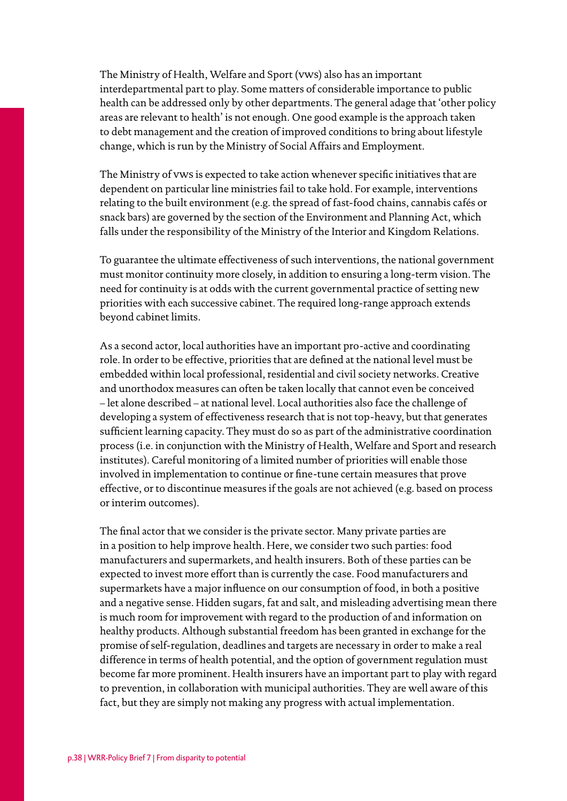The Ministry of Health, Welfare and Sport (vws) also has an important interdepartmental part to play. Some matters of considerable importance to public health can be addressed only by other departments. The general adage that 'other policy areas are relevant to health' is not enough. One good example is the approach taken to debt management and the creation of improved conditions to bring about lifestyle change, which is run by the Ministry of Social Affairs and Employment.

The Ministry of vws is expected to take action whenever specific initiatives that are dependent on particular line ministries fail to take hold. For example, interventions relating to the built environment (e.g. the spread of fast-food chains, cannabis cafés or snack bars) are governed by the section of the Environment and Planning Act, which falls under the responsibility of the Ministry of the Interior and Kingdom Relations.

To guarantee the ultimate effectiveness of such interventions, the national government must monitor continuity more closely, in addition to ensuring a long-term vision. The need for continuity is at odds with the current governmental practice of setting new priorities with each successive cabinet. The required long-range approach extends beyond cabinet limits.

As a second actor, local authorities have an important pro-active and coordinating role. In order to be effective, priorities that are defined at the national level must be embedded within local professional, residential and civil society networks. Creative and unorthodox measures can often be taken locally that cannot even be conceived – let alone described – at national level. Local authorities also face the challenge of developing a system of effectiveness research that is not top-heavy, but that generates sufficient learning capacity. They must do so as part of the administrative coordination process (i.e. in conjunction with the Ministry of Health, Welfare and Sport and research institutes). Careful monitoring of a limited number of priorities will enable those involved in implementation to continue or fine-tune certain measures that prove effective, or to discontinue measures if the goals are not achieved (e.g. based on process or interim outcomes).

The final actor that we consider is the private sector. Many private parties are in a position to help improve health. Here, we consider two such parties: food manufacturers and supermarkets, and health insurers. Both of these parties can be expected to invest more effort than is currently the case. Food manufacturers and supermarkets have a major influence on our consumption of food, in both a positive and a negative sense. Hidden sugars, fat and salt, and misleading advertising mean there is much room for improvement with regard to the production of and information on healthy products. Although substantial freedom has been granted in exchange for the promise of self-regulation, deadlines and targets are necessary in order to make a real difference in terms of health potential, and the option of government regulation must become far more prominent. Health insurers have an important part to play with regard to prevention, in collaboration with municipal authorities. They are well aware of this fact, but they are simply not making any progress with actual implementation.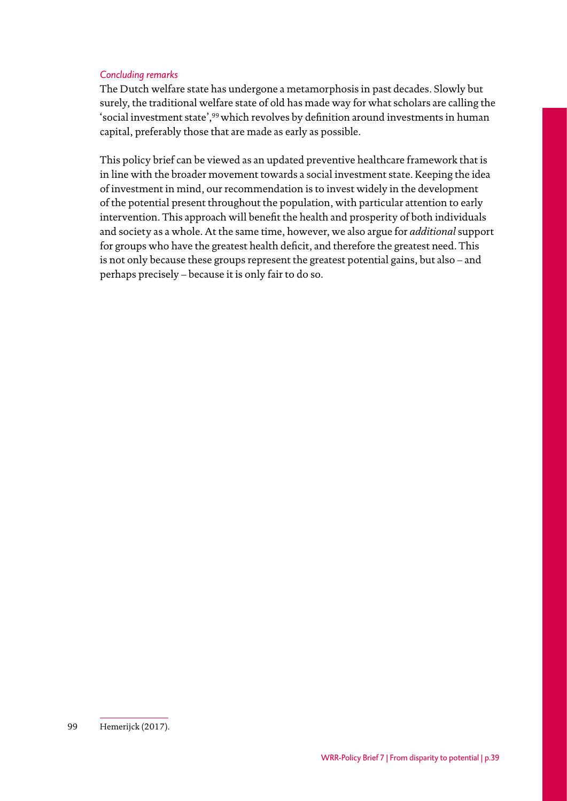#### *Concluding remarks*

The Dutch welfare state has undergone a metamorphosis in past decades. Slowly but surely, the traditional welfare state of old has made way for what scholars are calling the 'social investment state',<sup>99</sup> which revolves by definition around investments in human capital, preferably those that are made as early as possible.

This policy brief can be viewed as an updated preventive healthcare framework that is in line with the broader movement towards a social investment state. Keeping the idea of investment in mind, our recommendation is to invest widely in the development of the potential present throughout the population, with particular attention to early intervention. This approach will benefit the health and prosperity of both individuals and society as a whole. At the same time, however, we also argue for *additional* support for groups who have the greatest health deficit, and therefore the greatest need. This is not only because these groups represent the greatest potential gains, but also – and perhaps precisely – because it is only fair to do so.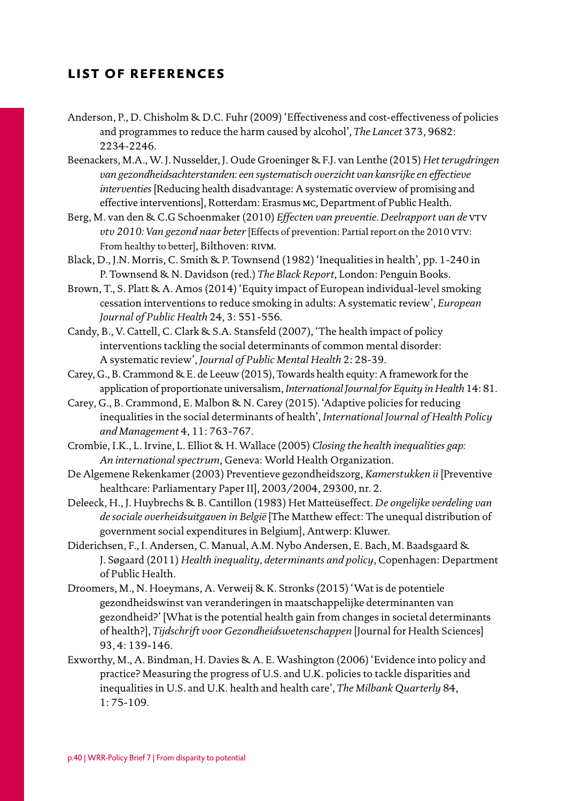## <span id="page-39-0"></span>**list of references**

- Anderson, P., D. Chisholm & D.C. Fuhr (2009) 'Effectiveness and cost-effectiveness of policies and programmes to reduce the harm caused by alcohol', *The Lancet* 373, 9682: 2234-2246.
- Beenackers, M.A., W. J. Nusselder, J. Oude Groeninger & F.J. van Lenthe (2015) *Het terugdringen van gezondheidsachterstanden: een systematisch overzicht van kansrijke en effectieve interventies* [Reducing health disadvantage: A systematic overview of promising and effective interventions], Rotterdam: Erasmus mc, Department of Public Health.
- Berg, M. van den & C.G Schoenmaker (2010) *Effecten van preventie. Deelrapport van de* vtv vtv 2010: Van gezond naar beter [Effects of prevention: Partial report on the 2010 VTV: From healthy to better], Bilthoven: RIVM.
- Black, D., J.N. Morris, C. Smith & P. Townsend (1982) 'Inequalities in health', pp. 1-240 in P. Townsend & N. Davidson (red.) *The Black Report*, London: Penguin Books.
- Brown, T., S. Platt & A. Amos (2014) 'Equity impact of European individual-level smoking cessation interventions to reduce smoking in adults: A systematic review', *European Journal of Public Health* 24, 3: 551-556.
- Candy, B., V. Cattell, C. Clark & S.A. Stansfeld (2007), 'The health impact of policy interventions tackling the social determinants of common mental disorder: A systematic review', *Journal of Public Mental Health* 2: 28-39.
- Carey, G., B. Crammond & E. de Leeuw (2015), Towards health equity: A framework for the application of proportionate universalism, *International Journal for Equity in Health* 14: 81.
- Carey, G., B. Crammond, E. Malbon & N. Carey (2015). 'Adaptive policies for reducing inequalities in the social determinants of health', *International Journal of Health Policy and Management* 4, 11: 763-767.
- Crombie, I.K., L. Irvine, L. Elliot & H. Wallace (2005) *Closing the health inequalities gap: An international spectrum*, Geneva: World Health Organization.
- De Algemene Rekenkamer (2003) Preventieve gezondheidszorg, *Kamerstukken ii* [Preventive healthcare: Parliamentary Paper II], 2003/2004, 29300, nr. 2.
- Deleeck, H., J. Huybrechs & B. Cantillon (1983) Het Matteüseffect. *De ongelijke verdeling van de sociale overheidsuitgaven in België* [The Matthew effect: The unequal distribution of government social expenditures in Belgium], Antwerp: Kluwer.
- Diderichsen, F., I. Andersen, C. Manual, A.M. Nybo Andersen, E. Bach, M. Baadsgaard & J. Søgaard (2011) *Health inequality, determinants and policy*, Copenhagen: Department of Public Health.
- Droomers, M., N. Hoeymans, A. Verweij & K. Stronks (2015) 'Wat is de potentiele gezondheidswinst van veranderingen in maatschappelijke determinanten van gezondheid?' [What is the potential health gain from changes in societal determinants of health?], *Tijdschrift voor Gezondheidswetenschappen* [Journal for Health Sciences] 93, 4: 139-146.
- Exworthy, M., A. Bindman, H. Davies & A. E. Washington (2006) 'Evidence into policy and practice? Measuring the progress of U.S. and U.K. policies to tackle disparities and inequalities in U.S. and U.K. health and health care', *The Milbank Quarterly* 84, 1: 75-109.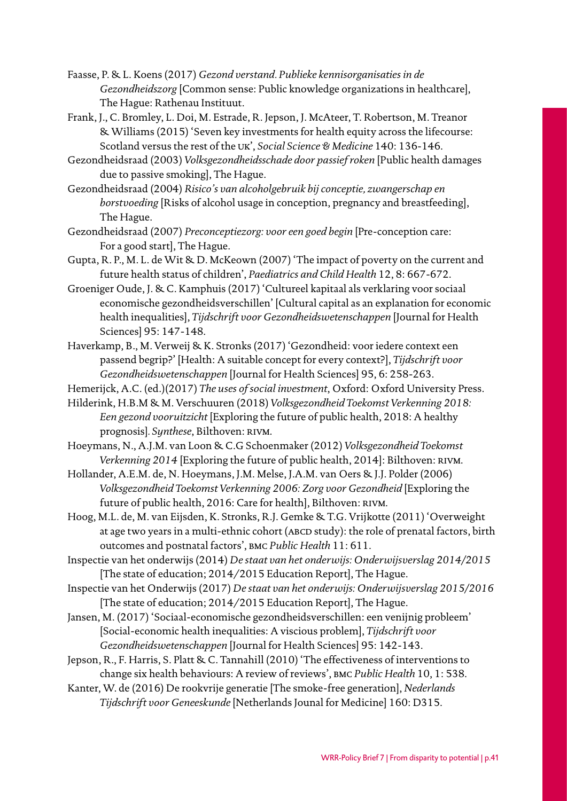- Faasse, P. & L. Koens (2017) *Gezond verstand. Publieke kennisorganisaties in de Gezondheidszorg* [Common sense: Public knowledge organizations in healthcare], The Hague: Rathenau Instituut.
- Frank, J., C. Bromley, L. Doi, M. Estrade, R. Jepson, J. McAteer, T. Robertson, M. Treanor & Williams (2015) 'Seven key investments for health equity across the lifecourse: Scotland versus the rest of the uk', *Social Science & Medicine* 140: 136-146.
- Gezondheidsraad (2003) *Volksgezondheidsschade door passief roken* [Public health damages due to passive smoking], The Hague.
- Gezondheidsraad (2004) *Risico's van alcoholgebruik bij conceptie, zwangerschap en borstvoeding* [Risks of alcohol usage in conception, pregnancy and breastfeeding], The Hague.
- Gezondheidsraad (2007) *Preconceptiezorg: voor een goed begin* [Pre-conception care: For a good start], The Hague.
- Gupta, R. P., M. L. de Wit & D. McKeown (2007) 'The impact of poverty on the current and future health status of children', *Paediatrics and Child Health* 12, 8: 667-672.
- Groeniger Oude, J. & C. Kamphuis (2017) 'Cultureel kapitaal als verklaring voor sociaal economische gezondheidsverschillen' [Cultural capital as an explanation for economic health inequalities], *Tijdschrift voor Gezondheidswetenschappen* [Journal for Health Sciences] 95: 147-148.
- Haverkamp, B., M. Verweij & K. Stronks (2017) 'Gezondheid: voor iedere context een passend begrip?' [Health: A suitable concept for every context?], *Tijdschrift voor Gezondheidswetenschappen* [Journal for Health Sciences] 95, 6: 258-263.
- Hemerijck, A.C. (ed.)(2017) *The uses of social investment*, Oxford: Oxford University Press.
- Hilderink, H.B.M & M. Verschuuren (2018) *Volksgezondheid Toekomst Verkenning 2018: Een gezond vooruitzicht* [Exploring the future of public health, 2018: A healthy prognosis]. Synthese, Bilthoven: RIVM.
- Hoeymans, N., A.J.M. van Loon & C.G Schoenmaker (2012) *Volksgezondheid Toekomst Verkenning 2014* [Exploring the future of public health, 2014]: Bilthoven: RIVM.
- Hollander, A.E.M. de, N. Hoeymans, J.M. Melse, J.A.M. van Oers & J.J. Polder (2006) *Volksgezondheid Toekomst Verkenning 2006: Zorg voor Gezondheid* [Exploring the future of public health, 2016: Care for health], Bilthoven: RIVM.
- Hoog, M.L. de, M. van Eijsden, K. Stronks, R.J. Gemke & T.G. Vrijkotte (2011) 'Overweight at age two years in a multi-ethnic cohort (ABCD study): the role of prenatal factors, birth outcomes and postnatal factors', bmc *Public Health* 11: 611.
- Inspectie van het onderwijs (2014) *De staat van het onderwijs: Onderwijsverslag 2014/2015*  [The state of education; 2014/2015 Education Report], The Hague.
- Inspectie van het Onderwijs (2017) *De staat van het onderwijs: Onderwijsverslag 2015/2016* [The state of education; 2014/2015 Education Report], The Hague.
- Jansen, M. (2017) 'Sociaal-economische gezondheidsverschillen: een venijnig probleem' [Social-economic health inequalities: A viscious problem], *Tijdschrift voor Gezondheidswetenschappen* [Journal for Health Sciences] 95: 142-143.
- Jepson, R., F. Harris, S. Platt & C. Tannahill (2010) 'The effectiveness of interventions to change six health behaviours: A review of reviews', bmc *Public Health* 10, 1: 538.
- Kanter, W. de (2016) De rookvrije generatie [The smoke-free generation], *Nederlands Tijdschrift voor Geneeskunde* [Netherlands Jounal for Medicine] 160: D315.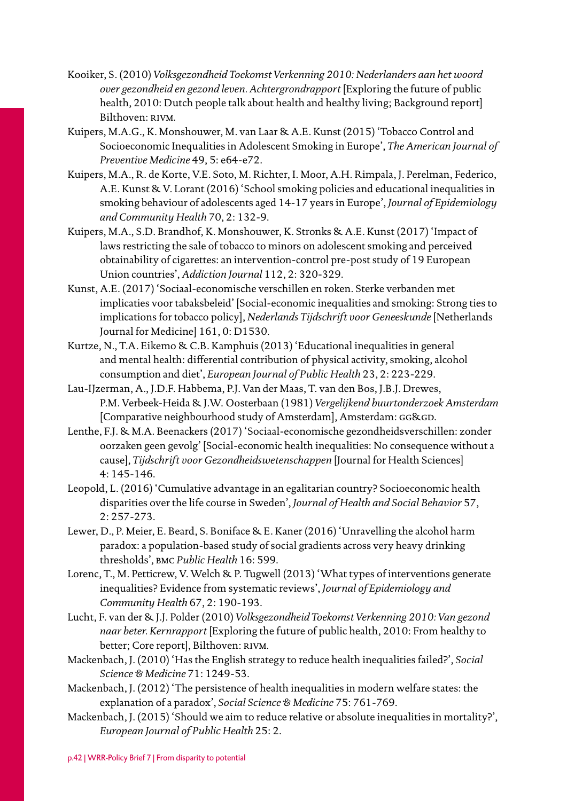- Kooiker, S. (2010) *Volksgezondheid Toekomst Verkenning 2010: Nederlanders aan het woord over gezondheid en gezond leven. Achtergrondrapport* [Exploring the future of public health, 2010: Dutch people talk about health and healthy living; Background report] Bilthoven: RIVM.
- Kuipers, M.A.G., K. Monshouwer, M. van Laar & A.E. Kunst (2015) 'Tobacco Control and Socioeconomic Inequalities in Adolescent Smoking in Europe', *The American Journal of Preventive Medicine* 49, 5: e64-e72.
- Kuipers, M.A., R. de Korte, V.E. Soto, M. Richter, I. Moor, A.H. Rimpala, J. Perelman, Federico, A.E. Kunst & V. Lorant (2016) 'School smoking policies and educational inequalities in smoking behaviour of adolescents aged 14-17 years in Europe', *Journal of Epidemiology and Community Health* 70, 2: 132-9.
- Kuipers, M.A., S.D. Brandhof, K. Monshouwer, K. Stronks & A.E. Kunst (2017) 'Impact of laws restricting the sale of tobacco to minors on adolescent smoking and perceived obtainability of cigarettes: an intervention-control pre-post study of 19 European Union countries', *Addiction Journal* 112, 2: 320-329.
- Kunst, A.E. (2017) 'Sociaal-economische verschillen en roken. Sterke verbanden met implicaties voor tabaksbeleid' [Social-economic inequalities and smoking: Strong ties to implications for tobacco policy], *Nederlands Tijdschrift voor Geneeskunde* [Netherlands Journal for Medicine] 161, 0: D1530.
- Kurtze, N., T.A. Eikemo & C.B. Kamphuis (2013) 'Educational inequalities in general and mental health: differential contribution of physical activity, smoking, alcohol consumption and diet', *European Journal of Public Health* 23, 2: 223-229.
- Lau-IJzerman, A., J.D.F. Habbema, P.J. Van der Maas, T. van den Bos, J.B.J. Drewes, P.M. Verbeek-Heida & J.W. Oosterbaan (1981) *Vergelijkend buurtonderzoek Amsterdam*  [Comparative neighbourhood study of Amsterdam], Amsterdam: GG&GD.
- Lenthe, F.J. & M.A. Beenackers (2017) 'Sociaal-economische gezondheidsverschillen: zonder oorzaken geen gevolg' [Social-economic health inequalities: No consequence without a cause], *Tijdschrift voor Gezondheidswetenschappen* [Journal for Health Sciences] 4: 145-146.
- Leopold, L. (2016) 'Cumulative advantage in an egalitarian country? Socioeconomic health disparities over the life course in Sweden', *Journal of Health and Social Behavior* 57, 2: 257-273.
- Lewer, D., P. Meier, E. Beard, S. Boniface & E. Kaner (2016) 'Unravelling the alcohol harm paradox: a population-based study of social gradients across very heavy drinking thresholds', bmc *Public Health* 16: 599.
- Lorenc, T., M. Petticrew, V. Welch & P. Tugwell (2013) 'What types of interventions generate inequalities? Evidence from systematic reviews', *Journal of Epidemiology and Community Health* 67, 2: 190-193.
- Lucht, F. van der & J.J. Polder (2010) *Volksgezondheid Toekomst Verkenning 2010: Van gezond naar beter. Kernrapport* [Exploring the future of public health, 2010: From healthy to better; Core report], Bilthoven: RIVM.
- Mackenbach, J. (2010) 'Has the English strategy to reduce health inequalities failed?', *Social Science & Medicine* 71: 1249-53.
- Mackenbach, J. (2012) 'The persistence of health inequalities in modern welfare states: the explanation of a paradox', *Social Science & Medicine* 75: 761-769.
- Mackenbach, J. (2015) 'Should we aim to reduce relative or absolute inequalities in mortality?', *European Journal of Public Health* 25: 2.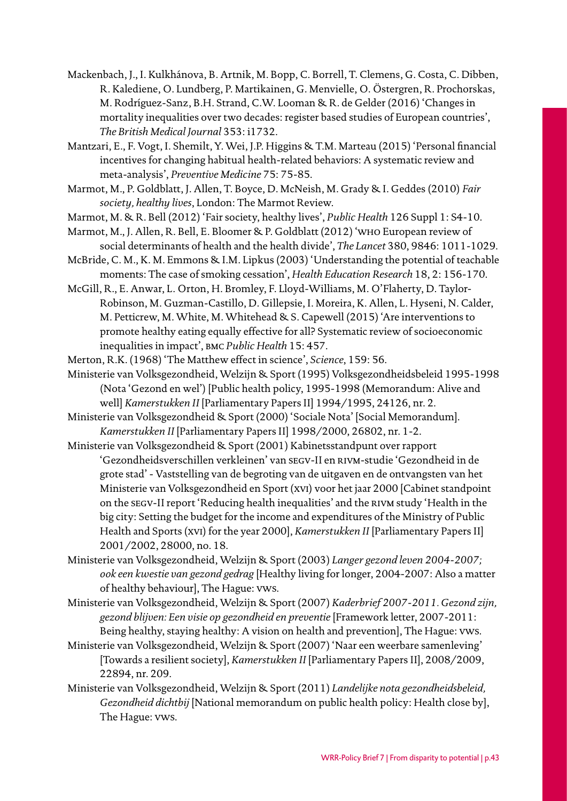- Mackenbach, J., I. Kulkhánova, B. Artnik, M. Bopp, C. Borrell, T. Clemens, G. Costa, C. Dibben, R. Kalediene, O. Lundberg, P. Martikainen, G. Menvielle, O. Östergren, R. Prochorskas, M. Rodríguez-Sanz, B.H. Strand, C.W. Looman & R. de Gelder (2016) 'Changes in mortality inequalities over two decades: register based studies of European countries', *The British Medical Journal* 353: i1732.
- Mantzari, E., F. Vogt, I. Shemilt, Y. Wei, J.P. Higgins & T.M. Marteau (2015) 'Personal financial incentives for changing habitual health-related behaviors: A systematic review and meta-analysis', *Preventive Medicine* 75: 75-85.
- Marmot, M., P. Goldblatt, J. Allen, T. Boyce, D. McNeish, M. Grady & I. Geddes (2010) *Fair society, healthy lives*, London: The Marmot Review.
- Marmot, M. & R. Bell (2012) 'Fair society, healthy lives', *Public Health* 126 Suppl 1: S4-10.
- Marmot, M., J. Allen, R. Bell, E. Bloomer & P. Goldblatt (2012) 'who European review of social determinants of health and the health divide', *The Lancet* 380, 9846: 1011-1029.
- McBride, C. M., K. M. Emmons & I.M. Lipkus (2003) 'Understanding the potential of teachable moments: The case of smoking cessation', *Health Education Research* 18, 2: 156-170.
- McGill, R., E. Anwar, L. Orton, H. Bromley, F. Lloyd-Williams, M. O'Flaherty, D. Taylor-Robinson, M. Guzman-Castillo, D. Gillepsie, I. Moreira, K. Allen, L. Hyseni, N. Calder, M. Petticrew, M. White, M. Whitehead & S. Capewell (2015) 'Are interventions to promote healthy eating equally effective for all? Systematic review of socioeconomic inequalities in impact', bmc *Public Health* 15: 457.
- Merton, R.K. (1968) 'The Matthew effect in science', *Science*, 159: 56.
- Ministerie van Volksgezondheid, Welzijn & Sport (1995) Volksgezondheidsbeleid 1995-1998 (Nota 'Gezond en wel') [Public health policy, 1995-1998 (Memorandum: Alive and well] *Kamerstukken II* [Parliamentary Papers II] 1994/1995, 24126, nr. 2.
- Ministerie van Volksgezondheid & Sport (2000) 'Sociale Nota' [Social Memorandum]. *Kamerstukken II* [Parliamentary Papers II] 1998/2000, 26802, nr. 1-2.
- Ministerie van Volksgezondheid & Sport (2001) Kabinetsstandpunt over rapport 'Gezondheidsverschillen verkleinen' van segv-II en rivm-studie 'Gezondheid in de grote stad' - Vaststelling van de begroting van de uitgaven en de ontvangsten van het Ministerie van Volksgezondheid en Sport (xvi) voor het jaar 2000 [Cabinet standpoint on the segv-II report 'Reducing health inequalities' and the rivm study 'Health in the big city: Setting the budget for the income and expenditures of the Ministry of Public Health and Sports (xvi) for the year 2000], *Kamerstukken II* [Parliamentary Papers II] 2001/2002, 28000, no. 18.
- Ministerie van Volksgezondheid, Welzijn & Sport (2003) *Langer gezond leven 2004-2007; ook een kwestie van gezond gedrag* [Healthy living for longer, 2004-2007: Also a matter of healthy behaviour], The Hague: vws.
- Ministerie van Volksgezondheid, Welzijn & Sport (2007) *Kaderbrief 2007-2011. Gezond zijn, gezond blijven: Een visie op gezondheid en preventie* [Framework letter, 2007-2011: Being healthy, staying healthy: A vision on health and prevention], The Hague: vws.
- Ministerie van Volksgezondheid, Welzijn & Sport (2007) 'Naar een weerbare samenleving' [Towards a resilient society], *Kamerstukken II* [Parliamentary Papers II], 2008/2009, 22894, nr. 209.
- Ministerie van Volksgezondheid, Welzijn & Sport (2011) *Landelijke nota gezondheidsbeleid, Gezondheid dichtbij* [National memorandum on public health policy: Health close by], The Hague: vws.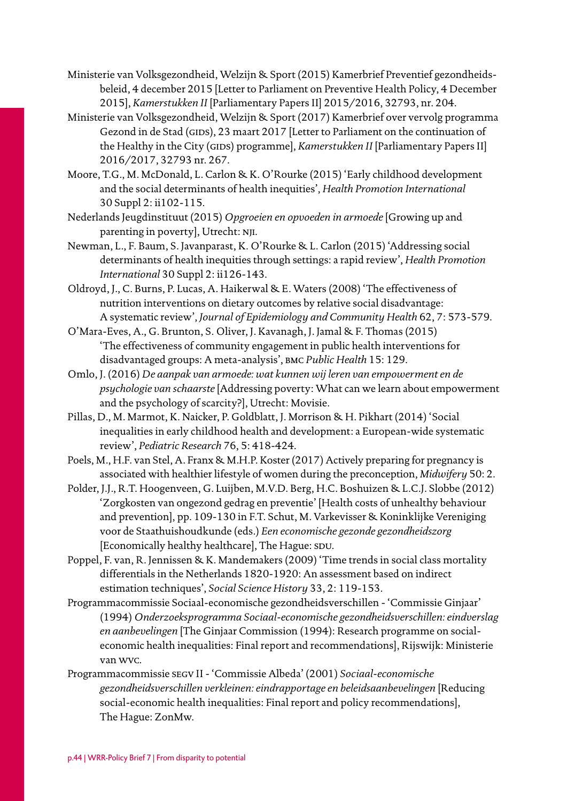- Ministerie van Volksgezondheid, Welzijn & Sport (2015) Kamerbrief Preventief gezondheidsbeleid, 4 december 2015 [Letter to Parliament on Preventive Health Policy, 4 December 2015], *Kamerstukken II* [Parliamentary Papers II] 2015/2016, 32793, nr. 204.
- Ministerie van Volksgezondheid, Welzijn & Sport (2017) Kamerbrief over vervolg programma Gezond in de Stad (GIDS), 23 maart 2017 [Letter to Parliament on the continuation of the Healthy in the City (GIDS) programme], *Kamerstukken II* [Parliamentary Papers II] 2016/2017, 32793 nr. 267.
- Moore, T.G., M. McDonald, L. Carlon & K. O'Rourke (2015) 'Early childhood development and the social determinants of health inequities', *Health Promotion International*  30 Suppl 2: ii102-115.
- Nederlands Jeugdinstituut (2015) *Opgroeien en opvoeden in armoede* [Growing up and parenting in poverty], Utrecht: nji.
- Newman, L., F. Baum, S. Javanparast, K. O'Rourke & L. Carlon (2015) 'Addressing social determinants of health inequities through settings: a rapid review', *Health Promotion International* 30 Suppl 2: ii126-143.
- Oldroyd, J., C. Burns, P. Lucas, A. Haikerwal & E. Waters (2008) 'The effectiveness of nutrition interventions on dietary outcomes by relative social disadvantage: A systematic review', *Journal of Epidemiology and Community Health* 62, 7: 573-579.
- O'Mara-Eves, A., G. Brunton, S. Oliver, J. Kavanagh, J. Jamal & F. Thomas (2015) 'The effectiveness of community engagement in public health interventions for disadvantaged groups: A meta-analysis', bmc *Public Health* 15: 129.
- Omlo, J. (2016) *De aanpak van armoede: wat kunnen wij leren van empowerment en de psychologie van schaarste* [Addressing poverty: What can we learn about empowerment and the psychology of scarcity?], Utrecht: Movisie.
- Pillas, D., M. Marmot, K. Naicker, P. Goldblatt, J. Morrison & H. Pikhart (2014) 'Social inequalities in early childhood health and development: a European-wide systematic review', *Pediatric Research* 76, 5: 418-424.
- Poels, M., H.F. van Stel, A. Franx & M.H.P. Koster (2017) Actively preparing for pregnancy is associated with healthier lifestyle of women during the preconception, *Midwifery* 50: 2.
- Polder, J.J., R.T. Hoogenveen, G. Luijben, M.V.D. Berg, H.C. Boshuizen & L.C.J. Slobbe (2012) 'Zorgkosten van ongezond gedrag en preventie' [Health costs of unhealthy behaviour and prevention], pp. 109-130 in F.T. Schut, M. Varkevisser & Koninklijke Vereniging voor de Staathuishoudkunde (eds.) *Een economische gezonde gezondheidszorg*  [Economically healthy healthcare], The Hague: SDU.
- Poppel, F. van, R. Jennissen & K. Mandemakers (2009) 'Time trends in social class mortality differentials in the Netherlands 1820-1920: An assessment based on indirect estimation techniques', *Social Science History* 33, 2: 119-153.
- Programmacommissie Sociaal-economische gezondheidsverschillen 'Commissie Ginjaar' (1994) *Onderzoeksprogramma Sociaal-economische gezondheidsverschillen: eindverslag en aanbevelingen* [The Ginjaar Commission (1994): Research programme on socialeconomic health inequalities: Final report and recommendations], Rijswijk: Ministerie van wvc.
- Programmacommissie segv II 'Commissie Albeda' (2001) *Sociaal-economische gezondheidsverschillen verkleinen: eindrapportage en beleidsaanbevelingen* [Reducing social-economic health inequalities: Final report and policy recommendations], The Hague: ZonMw.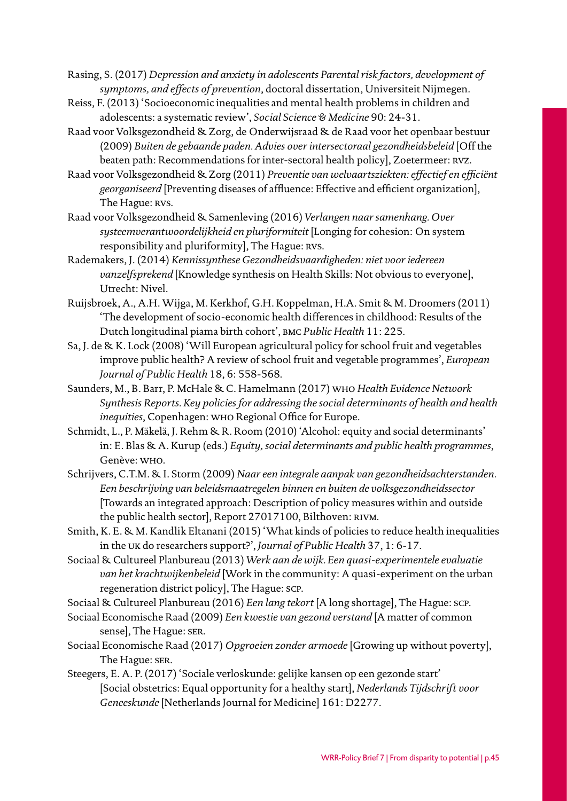Rasing, S. (2017) *Depression and anxiety in adolescents Parental risk factors, development of symptoms, and effects of prevention*, doctoral dissertation, Universiteit Nijmegen.

- Reiss, F. (2013) 'Socioeconomic inequalities and mental health problems in children and adolescents: a systematic review', *Social Science & Medicine* 90: 24-31.
- Raad voor Volksgezondheid & Zorg, de Onderwijsraad & de Raad voor het openbaar bestuur (2009) *Buiten de gebaande paden. Advies over intersectoraal gezondheidsbeleid* [Off the beaten path: Recommendations for inter-sectoral health policy], Zoetermeer: rvz.
- Raad voor Volksgezondheid & Zorg (2011) *Preventie van welvaartsziekten: effectief en efficiënt georganiseerd* [Preventing diseases of affluence: Effective and efficient organization], The Hague: RVS.
- Raad voor Volksgezondheid & Samenleving (2016) *Verlangen naar samenhang. Over systeemverantwoordelijkheid en pluriformiteit* [Longing for cohesion: On system responsibility and pluriformity], The Hague: RVS.
- Rademakers, J. (2014) *Kennissynthese Gezondheidsvaardigheden: niet voor iedereen vanzelfsprekend* [Knowledge synthesis on Health Skills: Not obvious to everyone], Utrecht: Nivel.
- Ruijsbroek, A., A.H. Wijga, M. Kerkhof, G.H. Koppelman, H.A. Smit & M. Droomers (2011) 'The development of socio-economic health differences in childhood: Results of the Dutch longitudinal piama birth cohort', bmc *Public Health* 11: 225.
- Sa, J. de & K. Lock (2008) 'Will European agricultural policy for school fruit and vegetables improve public health? A review of school fruit and vegetable programmes', *European Journal of Public Health* 18, 6: 558-568.
- Saunders, M., B. Barr, P. McHale & C. Hamelmann (2017) who *Health Evidence Network Synthesis Reports. Key policies for addressing the social determinants of health and health inequities*, Copenhagen: who Regional Office for Europe.
- Schmidt, L., P. Mäkelä, J. Rehm & R. Room (2010) 'Alcohol: equity and social determinants' in: E. Blas & A. Kurup (eds.) *Equity, social determinants and public health programmes*, Genève: who.
- Schrijvers, C.T.M. & I. Storm (2009) *Naar een integrale aanpak van gezondheidsachterstanden. Een beschrijving van beleidsmaatregelen binnen en buiten de volksgezondheidssector*  [Towards an integrated approach: Description of policy measures within and outside the public health sector], Report 27017100, Bilthoven: RIVM.
- Smith, K. E. & M. Kandlik Eltanani (2015) 'What kinds of policies to reduce health inequalities in the uk do researchers support?', *Journal of Public Health* 37, 1: 6-17.
- Sociaal & Cultureel Planbureau (2013) *Werk aan de wijk. Een quasi-experimentele evaluatie van het krachtwijkenbeleid* [Work in the community: A quasi-experiment on the urban regeneration district policy], The Hague: scp.
- Sociaal & Cultureel Planbureau (2016) *Een lang tekort* [A long shortage], The Hague: scp.
- Sociaal Economische Raad (2009) *Een kwestie van gezond verstand* [A matter of common sense], The Hague: ser.
- Sociaal Economische Raad (2017) *Opgroeien zonder armoede* [Growing up without poverty], The Hague: ser.
- Steegers, E. A. P. (2017) 'Sociale verloskunde: gelijke kansen op een gezonde start' [Social obstetrics: Equal opportunity for a healthy start], *Nederlands Tijdschrift voor Geneeskunde* [Netherlands Journal for Medicine] 161: D2277.